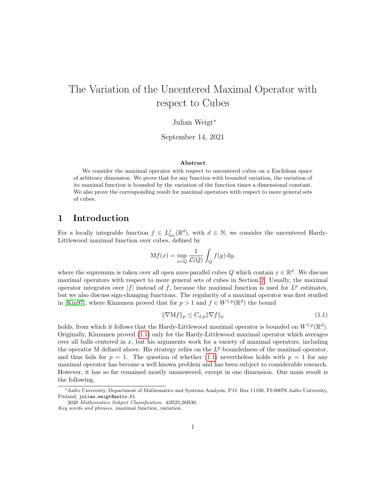# The Variation of the Uncentered Maximal Operator with respect to Cubes

## Julian Weigt<sup>∗</sup>

September 14, 2021

#### Abstract

We consider the maximal operator with respect to uncentered cubes on a Euclidean space of arbitrary dimension. We prove that for any function with bounded variation, the variation of its maximal function is bounded by the variation of the function times a dimensional constant. We also prove the corresponding result for maximal operators with respect to more general sets of cubes.

# 1 Introduction

For a locally integrable function  $f \in L^1_{loc}(\mathbb{R}^d)$ , with  $d \in \mathbb{N}$ , we consider the uncentered Hardy-Littlewood maximal function over cubes, defined by

$$
Mf(x) = \sup_{x \in Q} \frac{1}{\mathcal{L}(Q)} \int_Q f(y) \, dy,
$$

where the supremum is taken over all open axes-parallel cubes Q which contain  $x \in \mathbb{R}^d$ . We discuss maximal operators with respect to more general sets of cubes in Section [2.](#page-2-0) Usually, the maximal operator integrates over  $|f|$  instead of f, because the maximal function is used for  $L^p$  estimates, but we also discuss sign-changing functions. The regularity of a maximal operator was first studied in [\[Kin97\]](#page-20-0), where Kinnunen proved that for  $p > 1$  and  $f \in W^{1,p}(\mathbb{R}^d)$  the bound

<span id="page-0-0"></span>
$$
\|\nabla Mf\|_{p} \le C_{d,p} \|\nabla f\|_{p} \tag{1.1}
$$

holds, from which it follows that the Hardy-Littlewood maximal operator is bounded on  $W^{1,p}(\mathbb{R}^d)$ . Originally, Kinnunen proved [\(1.1\)](#page-0-0) only for the Hardy-Littlewood maximal operator which averages over all balls centered in  $x$ , but his arguments work for a variety of maximal operators, including the operator M defined above. His strategy relies on the  $L^p$ -boundedness of the maximal operator, and thus fails for  $p = 1$ . The question of whether [\(1.1\)](#page-0-0) nevertheless holds with  $p = 1$  for any maximal operator has become a well known problem and has been subject to considerable research. However, it has so far remained mostly unanswered, except in one dimension. Our main result is the following.

<span id="page-0-1"></span><sup>∗</sup>Aalto University, Department of Mathematics and Systems Analysis, P.O. Box 11100, FI-00076 Aalto University, Finland, julian.weigt@aalto.fi

<sup>2020</sup> Mathematics Subject Classification. 42B25,26B30. Key words and phrases. maximal function, variation.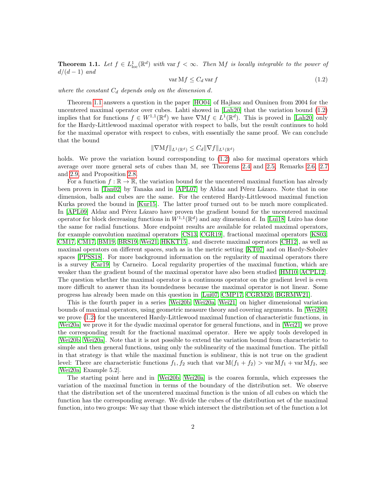**Theorem 1.1.** Let  $f \in L^1_{loc}(\mathbb{R}^d)$  with var  $f < \infty$ . Then Mf is locally integrable to the power of  $d/(d-1)$  and

<span id="page-1-0"></span>
$$
\operatorname{var} Mf \le C_d \operatorname{var} f \tag{1.2}
$$

where the constant  $C_d$  depends only on the dimension  $d$ .

Theorem [1.1](#page-0-1) answers a question in the paper [\[HO04\]](#page-20-1) of Hajlasz and Onninen from 2004 for the uncentered maximal operator over cubes. Lahti showed in [\[Lah20\]](#page-20-2) that the variation bound [\(1.2\)](#page-1-0) implies that for functions  $f \in W^{1,1}(\mathbb{R}^d)$  we have  $\nabla Mf \in L^1(\mathbb{R}^d)$ . This is proved in [\[Lah20\]](#page-20-2) only for the Hardy-Littlewood maximal operator with respect to balls, but the result continues to hold for the maximal operator with respect to cubes, with essentially the same proof. We can conclude that the bound

$$
\|\nabla Mf\|_{L^1(\mathbb{R}^d)} \leq C_d \|\nabla f\|_{L^1(\mathbb{R}^d)}
$$

holds. We prove the variation bound corresponding to  $(1.2)$  also for maximal operators which average over more general sets of cubes than M, see Theorems [2.4](#page-4-0) and [2.5,](#page-4-1) Remarks [2.6,](#page-4-2) [2.7](#page-5-0) and [2.9,](#page-5-1) and Proposition [2.8.](#page-5-2)

For a function  $f : \mathbb{R} \to \mathbb{R}$ , the variation bound for the uncentered maximal function has already been proven in  $[Tan02]$  by Tanaka and in  $[APLO7]$  by Aldaz and Pérez Lázaro. Note that in one dimension, balls and cubes are the same. For the centered Hardy-Littlewood maximal function Kurka proved the bound in [\[Kur15\]](#page-20-3). The latter proof turned out to be much more complicated. In [\[APL09\]](#page-19-1) Aldaz and Pérez Lázaro have proven the gradient bound for the uncentered maximal operator for block decreasing functions in  $W^{1,1}(\mathbb{R}^d)$  and any dimension d. In [\[Lui18\]](#page-20-4) Luiro has done the same for radial functions. More endpoint results are available for related maximal operators, for example convolution maximal operators [\[CS13,](#page-20-5) [CGR19\]](#page-19-2), fractional maximal operators [\[KS03,](#page-20-6) [CM17, CM17,](#page-20-7) [BM19,](#page-19-3) [BRS19,](#page-19-4) [Wei21,](#page-21-1) [HKKT15\]](#page-20-8), and discrete maximal operators [\[CH12\]](#page-20-9), as well as maximal operators on different spaces, such as in the metric setting [\[KT07\]](#page-20-10) and on Hardy-Sobolev spaces [\[PPSS18\]](#page-21-2). For more background information on the regularity of maximal operators there is a survey [\[Car19\]](#page-19-5) by Carneiro. Local regularity properties of the maximal function, which are weaker than the gradient bound of the maximal operator have also been studied [\[HM10,](#page-20-11) [ACPL12\]](#page-19-6). The question whether the maximal operator is a continuous operator on the gradient level is even more difficult to answer than its boundedness because the maximal operator is not linear. Some progress has already been made on this question in [\[Lui07,](#page-20-12) [CMP17,](#page-20-13) [CGRM20,](#page-20-14) [BGRMW21\]](#page-19-7).

This is the fourth paper in a series [\[Wei20b,](#page-21-3) [Wei20a,](#page-21-4) [Wei21\]](#page-21-1) on higher dimensional variation bounds of maximal operators, using geometric measure theory and covering arguments. In [\[Wei20b\]](#page-21-3) we prove [\(1.2\)](#page-1-0) for the uncentered Hardy-Littlewood maximal function of characteristic functions, in [\[Wei20a\]](#page-21-4) we prove it for the dyadic maximal operator for general functions, and in [\[Wei21\]](#page-21-1) we prove the corresponding result for the fractional maximal operator. Here we apply tools developed in [\[Wei20b,](#page-21-3) [Wei20a\]](#page-21-4). Note that it is not possible to extend the variation bound from characteristic to simple and then general functions, using only the sublinearity of the maximal function. The pitfall in that strategy is that while the maximal function is sublinear, this is not true on the gradient level: There are characteristic functions  $f_1, f_2$  such that var  $M(f_1 + f_2) > \text{var } Mf_1 + \text{var } Mf_2$ , see [\[Wei20a,](#page-21-4) Example 5.2].

The starting point here and in [\[Wei20b,](#page-21-3) [Wei20a\]](#page-21-4) is the coarea formula, which expresses the variation of the maximal function in terms of the boundary of the distribution set. We observe that the distribution set of the uncentered maximal function is the union of all cubes on which the function has the corresponding average. We divide the cubes of the distribution set of the maximal function, into two groups: We say that those which intersect the distribution set of the function a lot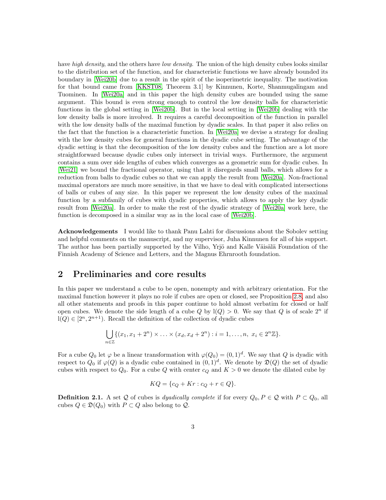have high density, and the others have low density. The union of the high density cubes looks similar to the distribution set of the function, and for characteristic functions we have already bounded its boundary in [\[Wei20b\]](#page-21-3) due to a result in the spirit of the isoperimetric inequality. The motivation for that bound came from [\[KKST08,](#page-20-15) Theorem 3.1] by Kinnunen, Korte, Shanmugalingam and Tuominen. In [\[Wei20a\]](#page-21-4) and in this paper the high density cubes are bounded using the same argument. This bound is even strong enough to control the low density balls for characteristic functions in the global setting in [\[Wei20b\]](#page-21-3). But in the local setting in [\[Wei20b\]](#page-21-3) dealing with the low density balls is more involved. It requires a careful decomposition of the function in parallel with the low density balls of the maximal function by dyadic scales. In that paper it also relies on the fact that the function is a characteristic function. In [\[Wei20a\]](#page-21-4) we devise a strategy for dealing with the low density cubes for general functions in the dyadic cube setting. The advantage of the dyadic setting is that the decomposition of the low density cubes and the function are a lot more straightforward because dyadic cubes only intersect in trivial ways. Furthermore, the argument contains a sum over side lengths of cubes which converges as a geometric sum for dyadic cubes. In [\[Wei21\]](#page-21-1) we bound the fractional operator, using that it disregards small balls, which allows for a reduction from balls to dyadic cubes so that we can apply the result from [\[Wei20a\]](#page-21-4). Non-fractional maximal operators are much more sensitive, in that we have to deal with complicated intersections of balls or cubes of any size. In this paper we represent the low density cubes of the maximal function by a subfamily of cubes with dyadic properties, which allows to apply the key dyadic result from [\[Wei20a\]](#page-21-4). In order to make the rest of the dyadic strategy of [\[Wei20a\]](#page-21-4) work here, the function is decomposed in a similar way as in the local case of [\[Wei20b\]](#page-21-3).

Acknowledgements I would like to thank Panu Lahti for discussions about the Sobolev setting and helpful comments on the manuscript, and my supervisor, Juha Kinnunen for all of his support. The author has been partially supported by the Vilho, Yrjö and Kalle Väisälä Foundation of the Finnish Academy of Science and Letters, and the Magnus Ehrnrooth foundation.

# <span id="page-2-0"></span>2 Preliminaries and core results

In this paper we understand a cube to be open, nonempty and with arbitrary orientation. For the maximal function however it plays no role if cubes are open or closed, see Proposition [2.8,](#page-5-2) and also all other statements and proofs in this paper continue to hold almost verbatim for closed or half open cubes. We denote the side length of a cube  $Q$  by  $\text{I}(Q) > 0$ . We say that  $Q$  is of scale  $2^n$  if  $l(Q) \in [2^n, 2^{n+1})$ . Recall the definition of the collection of dyadic cubes

$$
\bigcup_{n \in \mathbb{Z}} \{ (x_1, x_1 + 2^n) \times \ldots \times (x_d, x_d + 2^n) : i = 1, \ldots, n, \ x_i \in 2^n \mathbb{Z} \}.
$$

For a cube  $Q_0$  let  $\varphi$  be a linear transformation with  $\varphi(Q_0) = (0,1)^d$ . We say that Q is dyadic with respect to  $Q_0$  if  $\varphi(Q)$  is a dyadic cube contained in  $(0,1)^d$ . We denote by  $\mathfrak{D}(Q)$  the set of dyadic cubes with respect to  $Q_0$ . For a cube Q with center  $c_Q$  and  $K > 0$  we denote the dilated cube by

$$
KQ = \{c_Q + Kr : c_Q + r \in Q\}.
$$

**Definition 2.1.** A set Q of cubes is *dyadically complete* if for every  $Q_0, P \in \mathcal{Q}$  with  $P \subset Q_0$ , all cubes  $Q \in \mathfrak{D}(Q_0)$  with  $P \subset Q$  also belong to  $Q$ .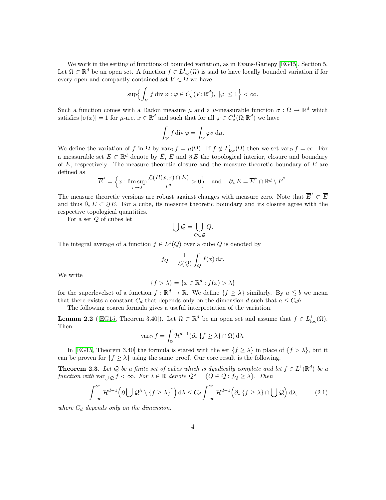We work in the setting of functions of bounded variation, as in Evans-Gariepy [\[EG15\]](#page-20-16), Section 5. Let  $\Omega \subset \mathbb{R}^d$  be an open set. A function  $f \in L^1_{loc}(\Omega)$  is said to have locally bounded variation if for every open and compactly contained set  $V \subset \Omega$  we have

$$
\sup \Bigl\{ \int_V f \operatorname{div} \varphi : \varphi \in C^1_{\mathrm{c}}(V;\mathbb{R}^d), \ |\varphi| \le 1 \Bigr\} < \infty.
$$

Such a function comes with a Radon measure  $\mu$  and a  $\mu$ -measurable function  $\sigma : \Omega \to \mathbb{R}^d$  which satisfies  $|\sigma(x)| = 1$  for  $\mu$ -a.e.  $x \in \mathbb{R}^d$  and such that for all  $\varphi \in C_c^1(\Omega; \mathbb{R}^d)$  we have

$$
\int_V f \operatorname{div} \varphi = \int_V \varphi \sigma \, \mathrm{d}\mu.
$$

We define the variation of f in  $\Omega$  by  $\varphi_{\Omega} f = \mu(\Omega)$ . If  $f \notin L^1_{\text{loc}}(\Omega)$  then we set  $\varphi_{\Omega} f = \infty$ . For a measurable set  $E \subset \mathbb{R}^d$  denote by  $\mathring{E}$ ,  $\overline{E}$  and  $\partial E$  the topological interior, closure and boundary of  $E$ , respectively. The measure theoretic closure and the measure theoretic boundary of  $E$  are defined as

$$
\overline{E}^* = \left\{ x : \limsup_{r \to 0} \frac{\mathcal{L}(B(x,r) \cap E)}{r^d} > 0 \right\} \quad \text{and} \quad \partial_* E = \overline{E}^* \cap \overline{\mathbb{R}^d \setminus E}^*.
$$

The measure theoretic versions are robust against changes with measure zero. Note that  $\overline{E}^* \subset \overline{E}$ and thus  $\partial_* E \subset \partial E$ . For a cube, its measure theoretic boundary and its closure agree with the respective topological quantities.

For a set  $Q$  of cubes let

$$
\bigcup \mathcal{Q} = \bigcup_{Q \in \mathcal{Q}} Q.
$$

The integral average of a function  $f \in L^1(Q)$  over a cube Q is denoted by

$$
f_Q = \frac{1}{\mathcal{L}(Q)} \int_Q f(x) \, dx.
$$

We write

$$
\{f > \lambda\} = \{x \in \mathbb{R}^d : f(x) > \lambda\}
$$

for the superlevelset of a function  $f : \mathbb{R}^d \to \mathbb{R}$ . We define  $\{f \geq \lambda\}$  similarly. By  $a \lesssim b$  we mean that there exists a constant  $C_d$  that depends only on the dimension d such that  $a \leq C_d b$ .

The following coarea formula gives a useful interpretation of the variation.

<span id="page-3-0"></span>**Lemma 2.2** ([\[EG15,](#page-20-16) Theorem 3.40]). Let  $\Omega \subset \mathbb{R}^d$  be an open set and assume that  $f \in L^1_{loc}(\Omega)$ . Then

$$
\operatorname{var}_{\Omega} f = \int_{\mathbb{R}} \mathcal{H}^{d-1}(\partial_* \{ f \ge \lambda \} \cap \Omega) \, d\lambda.
$$

In [\[EG15,](#page-20-16) Theorem 3.40] the formula is stated with the set  $\{f \geq \lambda\}$  in place of  $\{f > \lambda\}$ , but it can be proven for  ${f \geq \lambda}$  using the same proof. Our core result is the following.

<span id="page-3-2"></span>**Theorem 2.3.** Let Q be a finite set of cubes which is dyadically complete and let  $f \in L^1(\mathbb{R}^d)$  be a function with  $var_{\bigcup \mathcal{Q}} f < \infty$ . For  $\lambda \in \mathbb{R}$  denote  $\mathcal{Q}^{\lambda} = \{Q \in \mathcal{Q} : f_Q \geq \lambda\}$ . Then

<span id="page-3-1"></span>
$$
\int_{-\infty}^{\infty} \mathcal{H}^{d-1}\left(\partial \bigcup \mathcal{Q}^{\lambda} \setminus \overline{\{f \geq \lambda\}}^{*}\right) d\lambda \leq C_{d} \int_{-\infty}^{\infty} \mathcal{H}^{d-1}\left(\partial_{*} \left\{f \geq \lambda\right\} \cap \bigcup \mathcal{Q}\right) d\lambda, \tag{2.1}
$$

where  $C_d$  depends only on the dimension.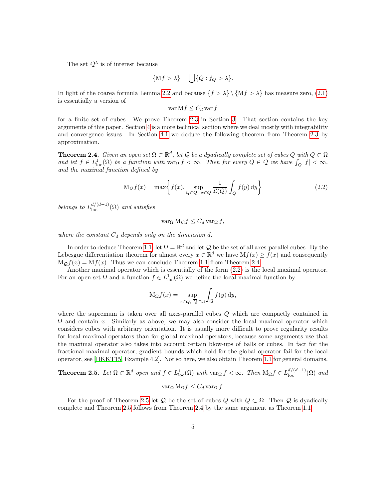The set  $\mathcal{Q}^{\lambda}$  is of interest because

$$
\{Mf > \lambda\} = \bigcup \{Q : f_Q > \lambda\}.
$$

In light of the coarea formula Lemma [2.2](#page-3-0) and because  $\{f > \lambda\} \setminus \{Mf > \lambda\}$  has measure zero, [\(2.1\)](#page-3-1) is essentially a version of

$$
\operatorname{var} \mathbf{M} f \le C_d \operatorname{var} f
$$

for a finite set of cubes. We prove Theorem [2.3](#page-3-2) in Section [3.](#page-6-0) That section contains the key arguments of this paper. Section [4](#page-15-0) is a more technical section where we deal mostly with integrability and convergence issues. In Section [4.1](#page-15-1) we deduce the following theorem from Theorem [2.3](#page-3-2) by approximation.

<span id="page-4-0"></span>**Theorem 2.4.** Given an open set  $\Omega \subset \mathbb{R}^d$ , let Q be a dyadically complete set of cubes Q with  $Q \subset \Omega$ and let  $f \in L^1_{loc}(\Omega)$  be a function with  $var_{\Omega} f < \infty$ . Then for every  $Q \in \mathcal{Q}$  we have  $\int_Q |f| < \infty$ , and the maximal function defined by

<span id="page-4-3"></span>
$$
M_{\mathcal{Q}}f(x) = \max\left\{f(x), \sup_{Q \in \mathcal{Q}, x \in Q} \frac{1}{\mathcal{L}(Q)} \int_{Q} f(y) dy\right\}
$$
(2.2)

belongs to  $L^{d/(d-1)}_{loc}(\Omega)$  and satisfies

 $var_{\Omega} M_{\mathcal{Q}} f \leq C_d var_{\Omega} f$ ,

where the constant  $C_d$  depends only on the dimension d.

In order to deduce Theorem [1.1,](#page-0-1) let  $\Omega = \mathbb{R}^d$  and let  $\mathcal{Q}$  be the set of all axes-parallel cubes. By the Lebesgue differentiation theorem for almost every  $x \in \mathbb{R}^d$  we have  $Mf(x) \ge f(x)$  and consequently  $M_{\mathcal{O}}f(x) = Mf(x)$ . Thus we can conclude Theorem [1.1](#page-0-1) from Theorem [2.4.](#page-4-0)

Another maximal operator which is essentially of the form [\(2.2\)](#page-4-3) is the local maximal operator. For an open set  $\Omega$  and a function  $f \in L^1_{loc}(\Omega)$  we define the local maximal function by

$$
M_{\Omega}f(x) = \sup_{x \in Q, \ \overline{Q} \subset \Omega} \int_{Q} f(y) \, dy,
$$

where the supremum is taken over all axes-parallel cubes Q which are compactly contained in  $\Omega$  and contain x. Similarly as above, we may also consider the local maximal operator which considers cubes with arbitrary orientation. It is usually more difficult to prove regularity results for local maximal operators than for global maximal operators, because some arguments use that the maximal operator also takes into account certain blow-ups of balls or cubes. In fact for the fractional maximal operator, gradient bounds which hold for the global operator fail for the local operator, see [\[HKKT15,](#page-20-8) Example 4.2]. Not so here, we also obtain Theorem [1.1](#page-0-1) for general domains.

<span id="page-4-1"></span>**Theorem 2.5.** Let 
$$
\Omega \subset \mathbb{R}^d
$$
 open and  $f \in L^1_{loc}(\Omega)$  with  $\text{var}_{\Omega} f < \infty$ . Then  $M_{\Omega} f \in L^{d/(d-1)}_{loc}(\Omega)$  and  

$$
\text{var}_{\Omega} M_{\Omega} f \leq C_d \text{var}_{\Omega} f.
$$

<span id="page-4-2"></span>For the proof of Theorem [2.5](#page-4-1) let Q be the set of cubes Q with  $\overline{Q} \subset \Omega$ . Then Q is dyadically complete and Theorem [2.5](#page-4-1) follows from Theorem [2.4](#page-4-0) by the same argument as Theorem [1.1.](#page-0-1)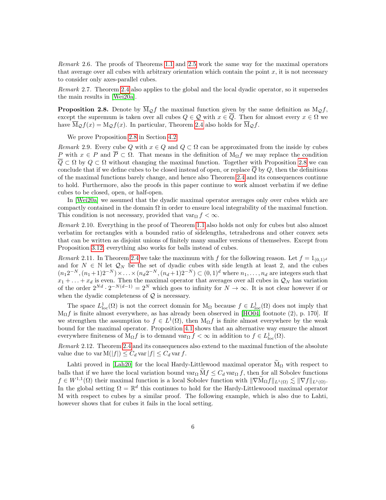Remark 2.6. The proofs of Theorems [1.1](#page-0-1) and [2.5](#page-4-1) work the same way for the maximal operators that average over all cubes with arbitrary orientation which contain the point  $x$ , it is not necessary to consider only axes-parallel cubes.

<span id="page-5-0"></span>Remark 2.7. Theorem [2.4](#page-4-0) also applies to the global and the local dyadic operator, so it supersedes the main results in [\[Wei20a\]](#page-21-4).

<span id="page-5-2"></span>**Proposition 2.8.** Denote by  $\overline{M}_{\mathcal{Q}}f$  the maximal function given by the same definition as  $M_{\mathcal{Q}}f$ , except the supremum is taken over all cubes  $Q \in \mathcal{Q}$  with  $x \in \overline{Q}$ . Then for almost every  $x \in \Omega$  we have  $M_Qf(x) = M_Qf(x)$ . In particular, Theorem [2.4](#page-4-0) also holds for  $\overline{M}_Qf$ .

We prove Proposition [2.8](#page-5-2) in Section [4.2.](#page-17-0)

<span id="page-5-1"></span>Remark 2.9. Every cube Q with  $x \in Q$  and  $Q \subset \Omega$  can be approximated from the inside by cubes P with  $x \in P$  and  $\overline{P} \subset \Omega$ . That means in the definition of  $M_{\Omega}f$  we may replace the condition  $\overline{Q} \subset \Omega$  by  $Q \subset \Omega$  without changing the maximal function. Together with Proposition [2.8](#page-5-2) we can conclude that if we define cubes to be closed instead of open, or replace  $\overline{Q}$  by  $Q$ , then the definitions of the maximal functions barely change, and hence also Theorem [2.4](#page-4-0) and its consequences continue to hold. Furthermore, also the proofs in this paper continue to work almost verbatim if we define cubes to be closed, open, or half-open.

In [\[Wei20a\]](#page-21-4) we assumed that the dyadic maximal operator averages only over cubes which are compactly contained in the domain  $\Omega$  in order to ensure local integrability of the maximal function. This condition is not necessary, provided that var $\Omega$  f <  $\infty$ .

Remark 2.10. Everything in the proof of Theorem [1.1](#page-0-1) also holds not only for cubes but also almost verbatim for rectangles with a bounded ratio of sidelengths, tetrahedrons and other convex sets that can be written as disjoint unions of finitely many smaller versions of themselves. Except from Proposition [3.12,](#page-11-0) everything also works for balls instead of cubes.

Remark 2.11. In Theorem [2.4](#page-4-0) we take the maximum with f for the following reason. Let  $f = 1_{(0,1)^d}$ and for  $N \in \mathbb{N}$  let  $\mathcal{Q}_N$  be the set of dyadic cubes with side length at least 2, and the cubes  $(n_1 2^{-N}, (n_1+1)2^{-N}) \times ... \times (n_d 2^{-N}, (n_d+1)2^{-N}) \subset (0,1)^d$  where  $n_1, ..., n_d$  are integers such that  $x_1 + \ldots + x_d$  is even. Then the maximal operator that averages over all cubes in  $\mathcal{Q}_N$  has variation of the order  $2^{Nd} \cdot 2^{-N(d-1)} = 2^N$  which goes to infinity for  $N \to \infty$ . It is not clear however if or when the dyadic completeness of  $\mathcal Q$  is necessary.

The space  $L^1_{loc}(\Omega)$  is not the correct domain for  $M_{\Omega}$  because  $f \in L^1_{loc}(\Omega)$  does not imply that  $M_{\Omega}f$  is finite almost everywhere, as has already been observed in [\[HO04,](#page-20-1) footnote (2), p. 170]. If we strengthen the assumption to  $f \in L^1(\Omega)$ , then  $M_{\Omega} f$  is finite almost everywhere by the weak bound for the maximal operator. Proposition [4.1](#page-15-2) shows that an alternative way ensure the almost everywhere finiteness of  $M_{\Omega} f$  is to demand  $var_{\Omega} f < \infty$  in addition to  $f \in L^{1}_{loc}(\Omega)$ .

Remark 2.12. Theorem [2.4](#page-4-0) and its consequences also extend to the maximal function of the absolute value due to var  $M(|f|) \leq C_d \text{ var } |f| \leq C_d \text{ var } f$ .

Lahti proved in [\[Lah20\]](#page-20-2) for the local Hardy-Littlewood maximal operator  $\widetilde{M}_{\Omega}$  with respect to balls that if we have the local variation bound var<sub> $\Omega$ </sub>  $\tilde{M}f \leq C_d$  var $\Omega$  f, then for all Sobolev functions  $f \in W^{1,1}(\Omega)$  their maximal function is a local Sobolev function with  $\|\nabla \widetilde{\mathbf{M}}_{\Omega} f\|_{L^1(\Omega)} \lesssim \|\nabla f\|_{L^1(\Omega)}$ . In the global setting  $\Omega = \mathbb{R}^d$  this continues to hold for the Hardy-Littlewoood maximal operator M with respect to cubes by a similar proof. The following example, which is also due to Lahti, however shows that for cubes it fails in the local setting.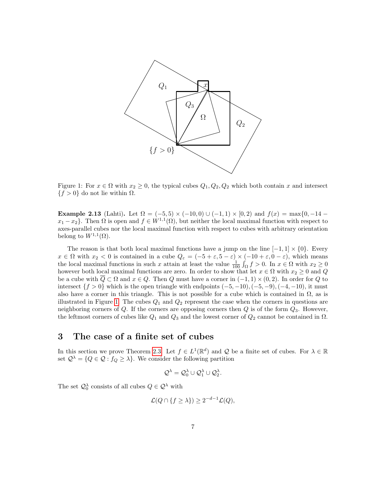

<span id="page-6-1"></span>Figure 1: For  $x \in \Omega$  with  $x_2 \geq 0$ , the typical cubes  $Q_1, Q_2, Q_2$  which both contain x and intersect  ${f > 0}$  do not lie within  $\Omega$ .

Example 2.13 (Lahti). Let  $\Omega = (-5, 5) \times (-10, 0) \cup (-1, 1) \times [0, 2)$  and  $f(x) = \max\{0, -14$  $x_1 - x_2$ . Then  $\Omega$  is open and  $f \in W^{1,1}(\Omega)$ , but neither the local maximal function with respect to axes-parallel cubes nor the local maximal function with respect to cubes with arbitrary orientation belong to  $W^{1,1}(\Omega)$ .

The reason is that both local maximal functions have a jump on the line  $[-1, 1] \times \{0\}$ . Every  $x \in \Omega$  with  $x_2 < 0$  is contained in a cube  $Q_{\varepsilon} = (-5 + \varepsilon, 5 - \varepsilon) \times (-10 + \varepsilon, 0 - \varepsilon)$ , which means the local maximal functions in such x attain at least the value  $\frac{1}{100} \int_{\Omega} f > 0$ . In  $x \in \Omega$  with  $x_2 \ge 0$ however both local maximal functions are zero. In order to show that let  $x \in \Omega$  with  $x_2 \geq 0$  and Q be a cube with  $\overline{Q} \subset \Omega$  and  $x \in Q$ . Then Q must have a corner in  $(-1,1) \times (0,2)$ . In order for Q to intersect  ${f > 0}$  which is the open triangle with endpoints  $(-5, -10)$ ,  $(-5, -9)$ ,  $(-4, -10)$ , it must also have a corner in this triangle. This is not possible for a cube which is contained in  $\Omega$ , as is illustrated in Figure [1.](#page-6-1) The cubes  $Q_1$  and  $Q_2$  represent the case when the corners in questions are neighboring corners of  $Q$ . If the corners are opposing corners then  $Q$  is of the form  $Q_3$ . However, the leftmost corners of cubes like  $Q_1$  and  $Q_3$  and the lowest corner of  $Q_2$  cannot be contained in  $\Omega$ .

# <span id="page-6-0"></span>3 The case of a finite set of cubes

In this section we prove Theorem [2.3.](#page-3-2) Let  $f \in L^1(\mathbb{R}^d)$  and Q be a finite set of cubes. For  $\lambda \in \mathbb{R}$ set  $\mathcal{Q}^{\lambda} = \{Q \in \mathcal{Q} : f_Q \geq \lambda\}.$  We consider the following partition

$$
\mathcal{Q}^{\lambda} = \mathcal{Q}_0^{\lambda} \cup \mathcal{Q}_1^{\lambda} \cup \mathcal{Q}_2^{\lambda}.
$$

The set  $\mathcal{Q}_0^{\lambda}$  consists of all cubes  $Q \in \mathcal{Q}^{\lambda}$  with

$$
\mathcal{L}(Q \cap \{f \ge \lambda\}) \ge 2^{-d-1}\mathcal{L}(Q),
$$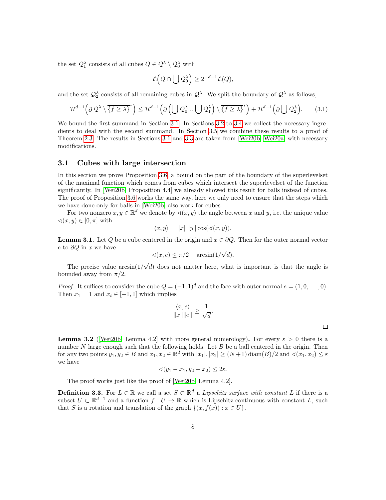the set  $\mathcal{Q}_1^{\lambda}$  consists of all cubes  $Q \in \mathcal{Q}^{\lambda} \setminus \mathcal{Q}_0^{\lambda}$  with

$$
\mathcal{L}\Big(Q\cap\bigcup\mathcal{Q}_0^\lambda\Big)\geq 2^{-d-1}\mathcal{L}(Q),
$$

and the set  $\mathcal{Q}_2^{\lambda}$  consists of all remaining cubes in  $\mathcal{Q}^{\lambda}$ . We split the boundary of  $\mathcal{Q}^{\lambda}$  as follows,

<span id="page-7-4"></span>
$$
\mathcal{H}^{d-1}\left(\partial\mathcal{Q}^{\lambda}\setminus\overline{\{f\ge\lambda\}}^{*}\right)\le\mathcal{H}^{d-1}\left(\partial\left(\bigcup\mathcal{Q}_{0}^{\lambda}\cup\bigcup\mathcal{Q}_{1}^{\lambda}\right)\setminus\overline{\{f\ge\lambda\}}^{*}\right)+\mathcal{H}^{d-1}\left(\partial\bigcup\mathcal{Q}_{2}^{\lambda}\right).
$$
 (3.1)

We bound the first summand in Section [3.1.](#page-7-0) In Sections [3.2](#page-9-0) to [3.4](#page-12-0) we collect the necessary ingredients to deal with the second summand. In Section [3.5](#page-13-0) we combine these results to a proof of Theorem [2.3.](#page-3-2) The results in Sections [3.1](#page-7-0) and [3.3](#page-11-1) are taken from [\[Wei20b,](#page-21-3) [Wei20a\]](#page-21-4) with necessary modifications.

#### <span id="page-7-0"></span>3.1 Cubes with large intersection

In this section we prove Proposition [3.6,](#page-8-0) a bound on the part of the boundary of the superlevelset of the maximal function which comes from cubes which intersect the superlevelset of the function significantly. In [\[Wei20b,](#page-21-3) Proposition 4.4] we already showed this result for balls instead of cubes. The proof of Proposition [3.6](#page-8-0) works the same way, here we only need to ensure that the steps which we have done only for balls in [\[Wei20b\]](#page-21-3) also work for cubes.

For two nonzero  $x, y \in \mathbb{R}^d$  we denote by  $\prec (x, y)$  the angle between x and y, i.e. the unique value  $\triangleleft(x, y) \in [0, \pi]$  with

$$
\langle x, y \rangle = ||x|| ||y|| \cos(\sphericalangle(x, y)).
$$

<span id="page-7-1"></span>**Lemma 3.1.** Let Q be a cube centered in the origin and  $x \in \partial Q$ . Then for the outer normal vector e to  $\partial Q$  in x we have

$$
\sphericalangle(x, e) \le \pi/2 - \arcsin(1/\sqrt{d}).
$$

The precise value  $arcsin(1/\sqrt{d})$  does not matter here, what is important is that the angle is bounded away from  $\pi/2$ .

*Proof.* It suffices to consider the cube  $Q = (-1, 1)^d$  and the face with outer normal  $e = (1, 0, \ldots, 0)$ . Then  $x_1 = 1$  and  $x_i \in [-1, 1]$  which implies

$$
\frac{\langle x, e \rangle}{\|x\| \|e\|} \ge \frac{1}{\sqrt{d}}.
$$

 $\Box$ 

<span id="page-7-2"></span>**Lemma 3.2** ([\[Wei20b,](#page-21-3) Lemma 4.2] with more general numerology). For every  $\varepsilon > 0$  there is a number  $N$  large enough such that the following holds. Let  $B$  be a ball centered in the origin. Then for any two points  $y_1, y_2 \in B$  and  $x_1, x_2 \in \mathbb{R}^d$  with  $|x_1|, |x_2| \ge (N+1) \operatorname{diam}(B)/2$  and  $\prec (x_1, x_2) \le \varepsilon$ we have

$$
\sphericalangle(y_1 - x_1, y_2 - x_2) \leq 2\varepsilon.
$$

The proof works just like the proof of [\[Wei20b,](#page-21-3) Lemma 4.2].

<span id="page-7-5"></span><span id="page-7-3"></span>**Definition 3.3.** For  $L \in \mathbb{R}$  we call a set  $S \subset \mathbb{R}^d$  a Lipschitz surface with constant L if there is a subset  $U \subset \mathbb{R}^{d-1}$  and a function  $f: U \to \mathbb{R}$  which is Lipschitz-continuous with constant L, such that S is a rotation and translation of the graph  $\{(x, f(x)) : x \in U\}.$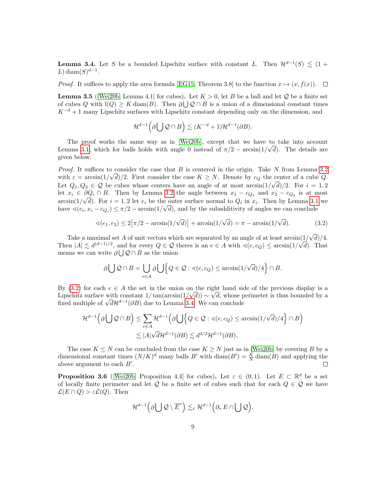**Lemma 3.4.** Let S be a bounded Lipschitz surface with constant L. Then  $\mathcal{H}^{d-1}(S) \leq (1 +$ L) diam $(S)^{d-1}$ .

*Proof.* It suffices to apply the area formula [\[EG15,](#page-20-16) Theorem 3.8] to the function  $x \mapsto (x, f(x))$ .  $\Box$ 

<span id="page-8-2"></span>**Lemma 3.5** (Wei20b, Lemma 4.1) for cubes). Let  $K > 0$ , let B be a ball and let Q be a finite set of cubes Q with  $\mathbf{l}(Q) \geq K \operatorname{diam}(B)$ . Then  $\partial \bigcup Q \cap B$  is a union of a dimensional constant times  $K^{-d} + 1$  many Lipschitz surfaces with Lipschitz constant depending only on the dimension, and

$$
\mathcal{H}^{d-1}\Big(\partial\bigcup\mathcal{Q}\cap B\Big)\lesssim (K^{-d}+1)\mathcal{H}^{d-1}(\partial B).
$$

The proof works the same way as in [\[Wei20b\]](#page-21-3), except that we have to take into account Lemma [3.1,](#page-7-1) which for balls holds with angle 0 instead of  $\pi/2 - \arcsin(1/\sqrt{d})$ . The details are given below.

*Proof.* It suffices to consider the case that  $B$  is centered in the origin. Take  $N$  from Lemma [3.2](#page-7-2) with  $\varepsilon = \arcsin(1/\sqrt{d})/2$ . First consider the case  $K \geq N$ . Denote by  $c_Q$  the center of a cube Q. Let  $Q_1, Q_2 \in \mathcal{Q}$  be cubes whose centers have an angle of at most arcsin $\left(\frac{1}{\sqrt{d}}\right)/2$ . For  $i = 1, 2$ let  $x_i \in \partial Q_i \cap B$ . Then by Lemma [3.2](#page-7-2) the angle between  $x_1 - c_{Q_1}$  and  $x_2 - c_{Q_2}$  is at most  $\arcsin(1/\sqrt{d})$ . For  $i = 1, 2$  let  $e_i$  be the outer surface normal to  $Q_i$  in  $x_i$ . Then by Lemma [3.1](#page-7-1) we have  $\alpha(e_i, x_i - c_{Q_i}) \leq \pi/2$  – arcsin(1/ $\sqrt{d}$ ), and by the subadditivity of angles we can conclude

<span id="page-8-1"></span>
$$
\sphericalangle(e_1, e_2) \le 2\left[\pi/2 - \arcsin(1/\sqrt{d})\right] + \arcsin(1/\sqrt{d}) = \pi - \arcsin(1/\sqrt{d}).\tag{3.2}
$$

Take a maximal set A of unit vectors which are separated by an angle of at least  $\arcsin\left(\frac{1}{\sqrt{d}}\right)/4$ . Then  $|A| \lesssim d^{(d-1)/2}$ , and for every  $Q \in \mathcal{Q}$  theres is an  $e \in A$  with  $\triangleleft(e, c_Q) \leq \arcsin(1/\sqrt{d})$ . That means we can write  $\partial \bigcup Q \cap B$  as the union

$$
\partial \bigcup \mathcal{Q} \cap B = \bigcup_{e \in A} \partial \bigcup \Bigl\{Q \in \mathcal{Q} : \sphericalangle(e, c_{Q}) \leq \arcsin(1/\sqrt{d})/4 \Bigr\} \cap B.
$$

By [\(3.2\)](#page-8-1) for each  $e \in A$  the set in the union on the right hand side of the previous display is a Lipschitz surface with constant  $1/\tan(\arcsin(1/\sqrt{d})) \sim \sqrt{d}$ , whose perimeter is thus bounded by a  $\lim_{\epsilon \to 0}$  fixed multiple of  $\sqrt{d\mathcal{H}^{d-1}(\partial B)}$  due to Lemma [3.4.](#page-7-3) We can conclude

$$
\mathcal{H}^{d-1}\left(\partial\bigcup\mathcal{Q}\cap B\right) \leq \sum_{e\in A} \mathcal{H}^{d-1}\left(\partial\bigcup\left\{Q\in\mathcal{Q}:\measuredangle(e,c_Q)\leq \arcsin(1/\sqrt{d})/4\right\}\cap B\right)
$$
  

$$
\lesssim |A|\sqrt{d}\mathcal{H}^{d-1}(\partial B) \lesssim d^{d/2}\mathcal{H}^{d-1}(\partial B).
$$

The case  $K \leq N$  can be concluded from the case  $K \geq N$  just as in [\[Wei20b\]](#page-21-3) by covering B by a dimensional constant times  $(N/K)^d$  many balls B' with  $\text{diam}(B') = \frac{K}{N} \text{diam}(B)$  and applying the above argument to each  $B'$ .  $\Box$ 

<span id="page-8-0"></span>**Proposition 3.6** ([\[Wei20b,](#page-21-3) Proposition 4.4] for cubes). Let  $\varepsilon \in (0,1)$ . Let  $E \subset \mathbb{R}^d$  be a set of locally finite perimeter and let  $Q$  be a finite set of cubes such that for each  $Q \in \mathcal{Q}$  we have  $\mathcal{L}(E \cap Q) > \varepsilon \mathcal{L}(Q)$ . Then

$$
\mathcal{H}^{d-1}\left(\partial\bigcup\mathcal{Q}\setminus\overline{E}^*\right)\lesssim_{\varepsilon}\mathcal{H}^{d-1}\left(\partial_*E\cap\bigcup\mathcal{Q}\right).
$$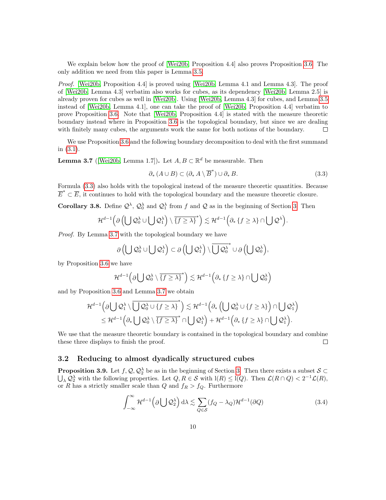We explain below how the proof of [\[Wei20b,](#page-21-3) Proposition 4.4] also proves Proposition [3.6.](#page-8-0) The only addition we need from this paper is Lemma [3.5.](#page-8-2)

Proof. [\[Wei20b,](#page-21-3) Proposition 4.4] is proved using [\[Wei20b,](#page-21-3) Lemma 4.1 and Lemma 4.3]. The proof of [\[Wei20b,](#page-21-3) Lemma 4.3] verbatim also works for cubes, as its dependency [\[Wei20b,](#page-21-3) Lemma 2.5] is already proven for cubes as well in [\[Wei20b\]](#page-21-3). Using [\[Wei20b,](#page-21-3) Lemma 4.3] for cubes, and Lemma [3.5](#page-8-2) instead of [\[Wei20b,](#page-21-3) Lemma 4.1], one can take the proof of [\[Wei20b,](#page-21-3) Proposition 4.4] verbatim to prove Proposition [3.6.](#page-8-0) Note that [\[Wei20b,](#page-21-3) Proposition 4.4] is stated with the measure theoretic boundary instead where in Proposition [3.6](#page-8-0) is the topological boundary, but since we are dealing with finitely many cubes, the arguments work the same for both notions of the boundary.  $\Box$ 

We use Proposition [3.6](#page-8-0) and the following boundary decomposition to deal with the first summand in [\(3.1\)](#page-7-4).

<span id="page-9-2"></span>**Lemma 3.7** ([\[Wei20b,](#page-21-3) Lemma 1.7]). Let  $A, B \subset \mathbb{R}^d$  be measurable. Then

<span id="page-9-1"></span>
$$
\partial_* (A \cup B) \subset (\partial_* A \setminus \overline{B}^*) \cup \partial_* B. \tag{3.3}
$$

Formula [\(3.3\)](#page-9-1) also holds with the topological instead of the measure theoretic quantities. Because  $\overline{E}^* \subset \overline{E}$ , it continues to hold with the topological boundary and the measure theoretic closure.

<span id="page-9-4"></span>**Corollary [3.](#page-6-0)8.** Define  $\mathcal{Q}^{\lambda}$ ,  $\mathcal{Q}^{\lambda}_0$  and  $\mathcal{Q}^{\lambda}_1$  from f and Q as in the beginning of Section 3. Then

$$
\mathcal{H}^{d-1}\Big(\partial\left(\bigcup\mathcal{Q}_0^{\lambda}\cup\bigcup\mathcal{Q}_1^{\lambda}\right)\setminus\overline{\{f\ge\lambda\}}^*\Big)\lesssim\mathcal{H}^{d-1}\Big(\partial_*\left\{f\ge\lambda\right\}\cap\bigcup\mathcal{Q}^{\lambda}\Big).
$$

Proof. By Lemma [3.7](#page-9-2) with the topological boundary we have

$$
\partial \left(\bigcup \mathcal{Q}_0^\lambda\cup \bigcup \mathcal{Q}_1^\lambda\right)\subset \partial \left(\bigcup \mathcal{Q}_1^\lambda\right)\setminus \overline{\bigcup \mathcal{Q}_0^\lambda}^*\cup \partial \left(\bigcup \mathcal{Q}_0^\lambda\right),
$$

by Proposition [3.6](#page-8-0) we have

$$
\mathcal{H}^{d-1}\left(\partial\bigcup\mathcal{Q}_0^\lambda\setminus\overline{\{f\ge\lambda\}}^*\right)\lesssim\mathcal{H}^{d-1}\left(\partial_*\left\{f\ge\lambda\right\}\cap\bigcup\mathcal{Q}_0^\lambda\right)
$$

and by Proposition [3.6](#page-8-0) and Lemma [3.7](#page-9-2) we obtain

$$
\mathcal{H}^{d-1}\Big(\partial\bigcup\mathcal{Q}_1^\lambda\setminus\overline{\bigcup\mathcal{Q}_0^\lambda\cup\{f\ge\lambda\}}^*\Big)\lesssim \mathcal{H}^{d-1}\Big(\partial_*\left(\bigcup\mathcal{Q}_0^\lambda\cup\{f\ge\lambda\}\right)\cap\bigcup\mathcal{Q}_1^\lambda\Big)\\\leq \mathcal{H}^{d-1}\Big(\partial_*\bigcup\mathcal{Q}_0^\lambda\setminus\overline{\{f\ge\lambda\}}^*\cap\bigcup\mathcal{Q}_1^\lambda\Big)+\mathcal{H}^{d-1}\Big(\partial_*\left\{f\ge\lambda\right\}\cap\bigcup\mathcal{Q}_1^\lambda\Big).
$$

We use that the measure theoretic boundary is contained in the topological boundary and combine these three displays to finish the proof.  $\Box$ 

#### <span id="page-9-0"></span>3.2 Reducing to almost dyadically structured cubes

<span id="page-9-5"></span>**Proposition [3.](#page-6-0)9.** Let  $f, Q, Q_2^{\lambda}$  be as in the beginning of Section 3. Then there exists a subset  $S \subset \mathbb{R}$  $\bigcup_{\lambda} \mathcal{Q}_{2}^{\lambda}$  with the following properties. Let  $Q, R \in \mathcal{S}$  with  $l(R) \leq l(Q)$ . Then  $\mathcal{L}(R \cap Q) < 2^{-1}\mathcal{L}(R)$ , or R has a strictly smaller scale than Q and  $f_R > f_Q$ . Furthermore

<span id="page-9-3"></span>
$$
\int_{-\infty}^{\infty} \mathcal{H}^{d-1}(\partial \bigcup \mathcal{Q}_{2}^{\lambda}) d\lambda \lesssim \sum_{Q \in \mathcal{S}} (f_{Q} - \lambda_{Q}) \mathcal{H}^{d-1}(\partial Q)
$$
(3.4)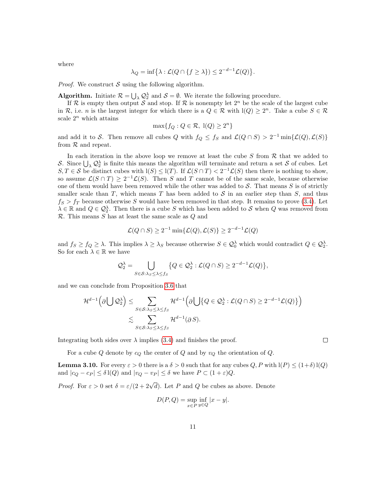where

$$
\lambda_Q = \inf \{ \lambda : \mathcal{L}(Q \cap \{ f \ge \lambda \}) \le 2^{-d-1} \mathcal{L}(Q) \}.
$$

*Proof.* We construct S using the following algorithm.

**Algorithm.** Initiate  $\mathcal{R} = \bigcup_{\lambda} \mathcal{Q}_{2}^{\lambda}$  and  $\mathcal{S} = \emptyset$ . We iterate the following procedure.

If R is empty then output S and stop. If R is nonempty let  $2^n$  be the scale of the largest cube in R, i.e. n is the largest integer for which there is a  $Q \in \mathcal{R}$  with  $\mathcal{I}(Q) \geq 2^n$ . Take a cube  $S \in \mathcal{R}$ scale  $2^n$  which attains

$$
\max\{f_Q: Q \in \mathcal{R}, \ l(Q) \ge 2^n\}
$$

and add it to S. Then remove all cubes Q with  $f_Q \leq f_S$  and  $\mathcal{L}(Q \cap S) > 2^{-1} \min{\{\mathcal{L}(Q), \mathcal{L}(S)\}}$ from  $R$  and repeat.

In each iteration in the above loop we remove at least the cube  $S$  from  $R$  that we added to S. Since  $\bigcup_{\lambda} Q_2^{\lambda}$  is finite this means the algorithm will terminate and return a set S of cubes. Let  $S, T \in \mathcal{S}$  be distinct cubes with  $\mathcal{S} \leq \mathcal{S}(T)$ . If  $\mathcal{L}(S \cap T) < 2^{-1} \mathcal{L}(S)$  then there is nothing to show, so assume  $\mathcal{L}(S \cap T) \geq 2^{-1} \mathcal{L}(S)$ . Then S and T cannot be of the same scale, because otherwise one of them would have been removed while the other was added to  $S$ . That means  $S$  is of strictly smaller scale than  $T$ , which means  $T$  has been added to  $S$  in an earlier step than  $S$ , and thus  $f_S > f_T$  because otherwise S would have been removed in that step. It remains to prove [\(3.4\)](#page-9-3). Let  $\lambda \in \mathbb{R}$  and  $Q \in \mathcal{Q}_2^{\lambda}$ . Then there is a cube S which has been added to S when Q was removed from R. This means S has at least the same scale as Q and

$$
\mathcal{L}(Q \cap S) \ge 2^{-1} \min\{\mathcal{L}(Q), \mathcal{L}(S)\} \ge 2^{-d-1} \mathcal{L}(Q)
$$

and  $f_S \ge f_Q \ge \lambda$ . This implies  $\lambda \ge \lambda_S$  because otherwise  $S \in \mathcal{Q}_0^{\lambda}$  which would contradict  $Q \in \mathcal{Q}_2^{\lambda}$ . So for each  $\lambda \in \mathbb{R}$  we have

$$
\mathcal{Q}_2^{\lambda} = \bigcup_{S \in \mathcal{S}: \lambda_S \leq \lambda \leq f_S} \{Q \in \mathcal{Q}_2^{\lambda} : \mathcal{L}(Q \cap S) \geq 2^{-d-1} \mathcal{L}(Q) \},
$$

and we can conclude from Proposition [3.6](#page-8-0) that

$$
\mathcal{H}^{d-1}\left(\partial\bigcup\mathcal{Q}_2^{\lambda}\right) \leq \sum_{S\in\mathcal{S}: \lambda_S\leq \lambda \leq f_S} \mathcal{H}^{d-1}\left(\partial\bigcup\{Q\in\mathcal{Q}_2^{\lambda}:\mathcal{L}(Q\cap S)\geq 2^{-d-1}\mathcal{L}(Q)\}\right)
$$
  

$$
\lesssim \sum_{S\in\mathcal{S}: \lambda_S\leq \lambda \leq f_S} \mathcal{H}^{d-1}(\partial S).
$$

Integrating both sides over  $\lambda$  implies [\(3.4\)](#page-9-3) and finishes the proof.

For a cube Q denote by  $c_Q$  the center of Q and by  $v_Q$  the orientation of Q.

<span id="page-10-0"></span>**Lemma 3.10.** For every  $\varepsilon > 0$  there is a  $\delta > 0$  such that for any cubes  $Q, P$  with  $I(P) \leq (1+\delta)I(Q)$ and  $|c_Q - c_P| \leq \delta \, l(Q)$  and  $|v_Q - v_P| \leq \delta$  we have  $P \subset (1 + \varepsilon)Q$ .

*Proof.* For  $\varepsilon > 0$  set  $\delta = \varepsilon/(2 + 2\sqrt{d})$ . Let P and Q be cubes as above. Denote

$$
D(P,Q) = \sup_{x \in P} \inf_{y \in Q} |x - y|.
$$

 $\Box$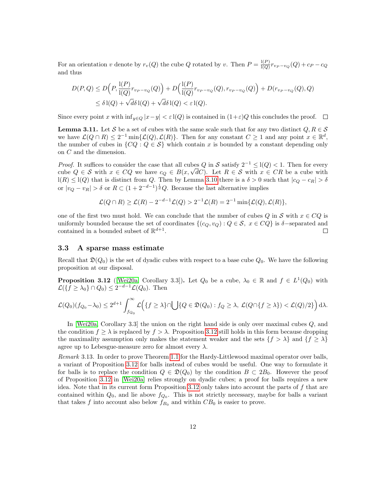For an orientation v denote by  $r_v(Q)$  the cube Q rotated by v. Then  $P = \frac{\mathbb{I}(P)}{\mathbb{I}(Q)}$  $\frac{d(P)}{d(Q)} r_{v_P - v_Q}(Q) + c_P - c_Q$ and thus

$$
D(P,Q) \le D\Big(P, \frac{\mathrm{l}(P)}{\mathrm{l}(Q)} r_{v_P - v_Q}(Q)\Big) + D\Big(\frac{\mathrm{l}(P)}{\mathrm{l}(Q)} r_{v_P - v_Q}(Q), r_{v_P - v_Q}(Q)\Big) + D(r_{v_P - v_Q}(Q), Q)
$$
  

$$
\le \delta \mathrm{l}(Q) + \sqrt{d} \delta \mathrm{l}(Q) + \sqrt{d} \delta \mathrm{l}(Q) < \varepsilon \mathrm{l}(Q).
$$

Since every point x with  $\inf_{y \in Q} |x-y| < \varepsilon$  l(Q) is contained in  $(1+\varepsilon)Q$  this concludes the proof.  $\square$ 

<span id="page-11-3"></span>**Lemma 3.11.** Let S be a set of cubes with the same scale such that for any two distinct  $Q, R \in \mathcal{S}$ we have  $\mathcal{L}(Q \cap R) \leq 2^{-1} \min{\{\mathcal{L}(Q), \mathcal{L}(R)\}}$ . Then for any constant  $C \geq 1$  and any point  $x \in \mathbb{R}^d$ , the number of cubes in  $\{CQ : Q \in \mathcal{S}\}\$  which contain x is bounded by a constant depending only on C and the dimension.

*Proof.* It suffices to consider the case that all cubes Q in S satisfy  $2^{-1} \leq l(Q) < 1$ . Then for every cube  $Q \in S$  with  $x \in CQ$  we have  $c_Q \in B(x, \sqrt{d}C)$ . Let  $R \in S$  with  $x \in CR$  be a cube with  $l(R) \leq l(Q)$  that is distinct from Q. Then by Lemma [3.10](#page-10-0) there is a  $\delta > 0$  such that  $|c_Q - c_R| > \delta$ or  $|v_Q - v_R| > \delta$  or  $R \subset (1 + 2^{-d-1})^{\frac{1}{d}} Q$ . Because the last alternative implies

$$
\mathcal{L}(Q \cap R) \ge \mathcal{L}(R) - 2^{-d-1}\mathcal{L}(Q) > 2^{-1}\mathcal{L}(R) = 2^{-1}\min{\{\mathcal{L}(Q), \mathcal{L}(R)\}},
$$

one of the first two must hold. We can conclude that the number of cubes Q in S with  $x \in CQ$  is uniformly bounded because the set of coordinates  $\{(c_Q, v_Q) : Q \in S, x \in CQ\}$  is  $\delta$ -separated and contained in a bounded subset of  $\mathbb{R}^{d+1}$ . contained in a bounded subset of  $\mathbb{R}^{d+1}$ .

#### <span id="page-11-1"></span>3.3 A sparse mass estimate

Recall that  $\mathfrak{D}(Q_0)$  is the set of dyadic cubes with respect to a base cube  $Q_0$ . We have the following proposition at our disposal.

<span id="page-11-0"></span>**Proposition 3.12** ([\[Wei20a,](#page-21-4) Corollary 3.3]). Let  $Q_0$  be a cube,  $\lambda_0 \in \mathbb{R}$  and  $f \in L^1(Q_0)$  with  $\mathcal{L}(\lbrace f \geq \lambda_0 \rbrace \cap Q_0) \leq 2^{-d-1} \mathcal{L}(Q_0)$ . Then

$$
\mathcal{L}(Q_0)(f_{Q_0}-\lambda_0)\leq 2^{d+1}\int_{f_{Q_0}}^{\infty}\mathcal{L}\Big(\{f\geq \lambda\}\cap \bigcup\{Q\in \mathfrak{D}(Q_0): f_Q\geq \lambda,\ \mathcal{L}(Q\cap\{f\geq \lambda\})\lt\mathcal{L}(Q)/2\}\Big)\,d\lambda.
$$

In [\[Wei20a,](#page-21-4) Corollary 3.3] the union on the right hand side is only over maximal cubes Q, and the condition  $f \geq \lambda$  is replaced by  $f > \lambda$ . Proposition [3.12](#page-11-0) still holds in this form because dropping the maximality assumption only makes the statement weaker and the sets  $\{f > \lambda\}$  and  $\{f \geq \lambda\}$ agree up to Lebesgue-measure zero for almost every  $\lambda$ .

<span id="page-11-2"></span>Remark 3.13. In order to prove Theorem [1.1](#page-0-1) for the Hardy-Littlewood maximal operator over balls, a variant of Proposition [3.12](#page-11-0) for balls instead of cubes would be useful. One way to formulate it for balls is to replace the condition  $Q \in \mathfrak{D}(Q_0)$  by the condition  $B \subset 2B_0$ . However the proof of Proposition [3.12](#page-11-0) in [\[Wei20a\]](#page-21-4) relies strongly on dyadic cubes; a proof for balls requires a new idea. Note that in its current form Proposition [3.12](#page-11-0) only takes into account the parts of  $f$  that are contained within  $Q_0$ , and lie above  $f_{Q_0}$ . This is not strictly necessary, maybe for balls a variant that takes f into account also below  $f_{B_0}$  and within  $CB_0$  is easier to prove.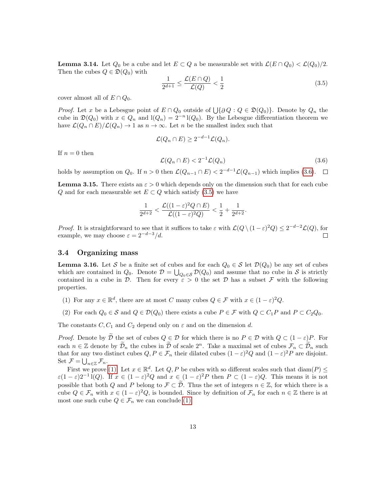**Lemma 3.14.** Let  $Q_0$  be a cube and let  $E \subset Q$  a be measurable set with  $\mathcal{L}(E \cap Q_0) < \mathcal{L}(Q_0)/2$ . Then the cubes  $Q \in \mathfrak{D}(Q_0)$  with

<span id="page-12-2"></span>
$$
\frac{1}{2^{d+1}} \le \frac{\mathcal{L}(E \cap Q)}{\mathcal{L}(Q)} < \frac{1}{2} \tag{3.5}
$$

cover almost all of  $E \cap Q_0$ .

*Proof.* Let x be a Lebesgue point of  $E \cap Q_0$  outside of  $\bigcup \{ \partial Q : Q \in \mathfrak{D}(Q_0) \}$ . Denote by  $Q_n$  the cube in  $\mathfrak{D}(Q_0)$  with  $x \in Q_n$  and  $l(Q_n) = 2^{-n} l(Q_0)$ . By the Lebesgue differentiation theorem we have  $\mathcal{L}(Q_n \cap E)/\mathcal{L}(Q_n) \to 1$  as  $n \to \infty$ . Let n be the smallest index such that

$$
\mathcal{L}(Q_n \cap E) \geq 2^{-d-1} \mathcal{L}(Q_n).
$$

If  $n = 0$  then

<span id="page-12-1"></span>
$$
\mathcal{L}(Q_n \cap E) < 2^{-1}\mathcal{L}(Q_n) \tag{3.6}
$$

holds by assumption on  $Q_0$ . If  $n > 0$  then  $\mathcal{L}(Q_{n-1} \cap E) < 2^{-d-1} \mathcal{L}(Q_{n-1})$  which implies [\(3.6\)](#page-12-1).

<span id="page-12-6"></span>**Lemma 3.15.** There exists an  $\varepsilon > 0$  which depends only on the dimension such that for each cube Q and for each measurable set  $E \subset Q$  which satisfy [\(3.5\)](#page-12-2) we have

$$
\frac{1}{2^{d+2}} < \frac{\mathcal{L}((1-\varepsilon)^2 Q \cap E)}{\mathcal{L}((1-\varepsilon)^2 Q)} < \frac{1}{2} + \frac{1}{2^{d+2}}.
$$

*Proof.* It is straightforward to see that it suffices to take  $\varepsilon$  with  $\mathcal{L}(Q \setminus (1-\varepsilon)^2 Q) \leq 2^{-d-2} \mathcal{L}(Q)$ , for example, we may choose  $\varepsilon = 2^{-d-3}/d$ .

#### <span id="page-12-0"></span>3.4 Organizing mass

<span id="page-12-5"></span>**Lemma 3.16.** Let S be a finite set of cubes and for each  $Q_0 \in S$  let  $\mathcal{D}(Q_0)$  be any set of cubes which are contained in  $Q_0$ . Denote  $D = \bigcup_{Q_0 \in \mathcal{S}} D(Q_0)$  and assume that no cube in S is strictly contained in a cube in D. Then for every  $\epsilon > 0$  the set D has a subset F with the following properties.

- <span id="page-12-3"></span>(1) For any  $x \in \mathbb{R}^d$ , there are at most C many cubes  $Q \in \mathcal{F}$  with  $x \in (1 - \varepsilon)^2 Q$ .
- <span id="page-12-4"></span>(2) For each  $Q_0 \in \mathcal{S}$  and  $Q \in \mathcal{D}(Q_0)$  there exists a cube  $P \in \mathcal{F}$  with  $Q \subset C_1P$  and  $P \subset C_2Q_0$ .

The constants  $C, C_1$  and  $C_2$  depend only on  $\varepsilon$  and on the dimension d.

*Proof.* Denote by  $\tilde{\mathcal{D}}$  the set of cubes  $Q \in \mathcal{D}$  for which there is no  $P \in \mathcal{D}$  with  $Q \subset (1 - \varepsilon)P$ . For each  $n \in \mathbb{Z}$  denote by  $\widetilde{\mathcal{D}}_n$  the cubes in  $\widetilde{\mathcal{D}}$  of scale  $2^n$ . Take a maximal set of cubes  $\mathcal{F}_n \subset \widetilde{\mathcal{D}}_n$  such that for any two distinct cubes  $Q, P \in \mathcal{F}_n$  their dilated cubes  $(1 - \varepsilon)^2 Q$  and  $(1 - \varepsilon)^2 P$  are disjoint. Set  $\mathcal{F} = \bigcup_{n \in \mathbb{Z}} \mathcal{F}_n$ .

First we prove [\(1\).](#page-12-3) Let  $x \in \mathbb{R}^d$ . Let  $Q, P$  be cubes with so different scales such that  $\text{diam}(P) \leq$  $\varepsilon(1-\varepsilon)2^{-1}I(Q)$ . If  $x \in (1-\varepsilon)^2Q$  and  $x \in (1-\varepsilon)^2P$  then  $P \subset (1-\varepsilon)Q$ . This means it is not possible that both Q and P belong to  $\mathcal{F} \subset \mathcal{D}$ . Thus the set of integers  $n \in \mathbb{Z}$ , for which there is a cube  $Q \in \mathcal{F}_n$  with  $x \in (1 - \varepsilon)^2 Q$ , is bounded. Since by definition of  $\mathcal{F}_n$  for each  $n \in \mathbb{Z}$  there is at most one such cube  $Q \in \mathcal{F}_n$  we can conclude [\(1\).](#page-12-3)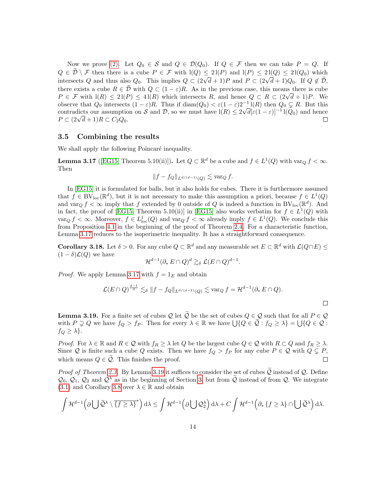Now we prove [\(2\).](#page-12-4) Let  $Q_0 \in \mathcal{S}$  and  $Q \in \mathcal{D}(Q_0)$ . If  $Q \in \mathcal{F}$  then we can take  $P = Q$ . If  $Q \in \tilde{\mathcal{D}} \setminus \mathcal{F}$  then there is a cube  $P \in \mathcal{F}$  with  $\mathcal{I}(Q) \leq 2\mathcal{I}(P)$  and  $\mathcal{I}(P) \leq 2\mathcal{I}(Q) \leq 2\mathcal{I}(Q_0)$  which intersects Q and thus also  $Q_0$ . This implies  $Q \subset (2\sqrt{d}+1)P$  and  $P \subset (2\sqrt{d}+1)Q_0$ . If  $Q \notin \tilde{D}$ , there exists a cube  $R \in \tilde{\mathcal{D}}$  with  $Q \subset (1 - \varepsilon)R$ . As in the previous case, this means there is cube  $P \in \mathcal{F}$  with  $l(R) \leq 2l(P) \leq 4l(R)$  which intersects R, and hence  $Q \subset R \subset (2\sqrt{d}+1)P$ . We observe that  $Q_0$  intersects  $(1 - \varepsilon)R$ . Thus if  $\text{diam}(Q_0) < \varepsilon (1 - \varepsilon)2^{-1}1(R)$  then  $Q_0 \subsetneq R$ . But this contradicts our assumption on S and D, so we must have  $l(R) \leq 2\sqrt{d}[\varepsilon(1-\varepsilon)]^{-1}l(Q_0)$  and hence  $P \subset (2\sqrt{d}+1)R \subset C_2Q_0.$  $\Box$ 

#### <span id="page-13-0"></span>3.5 Combining the results

We shall apply the following Poincaré inequality.

<span id="page-13-1"></span>**Lemma 3.17** ([\[EG15,](#page-20-16) Theorem 5.10(ii)]). Let  $Q \subset \mathbb{R}^d$  be a cube and  $f \in L^1(Q)$  with  $\text{var}_Q f < \infty$ . Then

$$
||f - f_Q||_{L^{d/(d-1)}(Q)} \lesssim \text{var}_Q f.
$$

In [\[EG15\]](#page-20-16) it is formulated for balls, but it also holds for cubes. There it is furthermore assumed that  $f \in BV_{loc}(\mathbb{R}^d)$ , but it is not necessary to make this assumption a priori, because  $f \in L^1(Q)$ and  $\text{var}_Q f < \infty$  imply that f extended by 0 outside of Q is indeed a function in BV<sub>loc</sub>( $\mathbb{R}^d$ ). And in fact, the proof of [\[EG15,](#page-20-16) Theorem 5.10(ii)] in [\[EG15\]](#page-20-16) also works verbatim for  $f \in L^1(Q)$  with  $var_Q f < \infty$ . Moreover,  $f \in L^1_{loc}(Q)$  and  $var_Q f < \infty$  already imply  $f \in L^1(Q)$ . We conclude this from Proposition [4.1](#page-15-2) in the beginning of the proof of Theorem [2.4.](#page-4-0) For a characteristic function, Lemma [3.17](#page-13-1) reduces to the isoperimetric inequality. It has a straightforward consequence.

<span id="page-13-3"></span>**Corollary 3.18.** Let  $\delta > 0$ . For any cube  $Q \subset \mathbb{R}^d$  and any measurable set  $E \subset \mathbb{R}^d$  with  $\mathcal{L}(Q \cap E) \le$  $(1 - \delta)\mathcal{L}(Q)$  we have

$$
\mathcal{H}^{d-1}(\partial_* E \cap Q)^d \gtrsim_{\delta} \mathcal{L}(E \cap Q)^{d-1}.
$$

*Proof.* We apply Lemma [3.17](#page-13-1) with  $f = 1_E$  and obtain

$$
\mathcal{L}(E \cap Q)^{\frac{d-1}{d}} \lesssim_{\delta} \|f - f_Q\|_{L^{d/(d-1)}(Q)} \lesssim \text{var}_Q f = \mathcal{H}^{d-1}(\partial_* E \cap Q).
$$

 $\Box$ 

<span id="page-13-2"></span>**Lemma 3.19.** For a finite set of cubes Q let  $\tilde{Q}$  be the set of cubes  $Q \in Q$  such that for all  $P \in Q$ with  $P \supsetneq Q$  we have  $f_Q > f_P$ . Then for every  $\lambda \in \mathbb{R}$  we have  $\bigcup \{Q \in \tilde{Q} : f_Q \geq \lambda\} = \bigcup \{Q \in \mathcal{Q} : \tilde{Q} \in \tilde{Q} \}$  $f_Q \geq \lambda$ .

*Proof.* For  $\lambda \in \mathbb{R}$  and  $R \in \mathcal{Q}$  with  $f_R \geq \lambda$  let  $Q$  be the largest cube  $Q \in \mathcal{Q}$  with  $R \subset Q$  and  $f_R \geq \lambda$ . Since Q is finite such a cube Q exists. Then we have  $f_Q > f_P$  for any cube  $P \in \mathcal{Q}$  with  $Q \subsetneq P$ , which means  $Q \in \mathcal{Q}$ . This finishes the proof.  $\Box$ 

*Proof of Theorem [2.3.](#page-3-2)* By Lemma [3.19](#page-13-2) it suffices to consider the set of cubes  $\tilde{Q}$  instead of  $Q$ . Define  $\mathcal{Q}_0$ ,  $\mathcal{Q}_1$ ,  $\mathcal{Q}_2$  and  $\mathcal{Q}^{\lambda}$  as in the beginning of Section [3,](#page-6-0) but from  $\tilde{\mathcal{Q}}$  instead of from  $\mathcal{Q}$ . We integrate  $(3.1)$  and Corollary [3.8](#page-9-4) over  $\lambda \in \mathbb{R}$  and obtain

$$
\int \mathcal{H}^{d-1}\left(\partial \bigcup \widetilde{\mathcal{Q}}^{\lambda}\setminus\overline{\{f\geq \lambda\}}^{*}\right) d\lambda \leq \int \mathcal{H}^{d-1}\left(\partial \bigcup \mathcal{Q}_{2}^{\lambda}\right) d\lambda + C \int \mathcal{H}^{d-1}\left(\partial_* \left\{f\geq \lambda\right\} \cap \bigcup \widetilde{\mathcal{Q}}^{\lambda}\right) d\lambda.
$$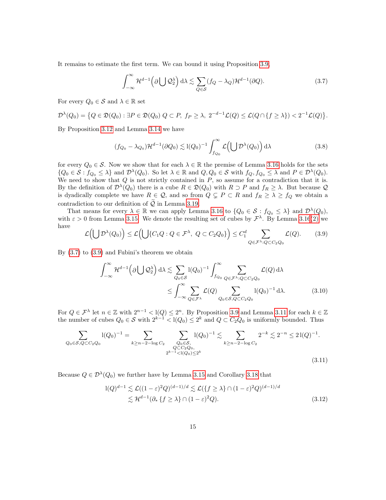It remains to estimate the first term. We can bound it using Proposition [3.9,](#page-9-5)

<span id="page-14-0"></span>
$$
\int_{-\infty}^{\infty} \mathcal{H}^{d-1}(\partial \bigcup \mathcal{Q}_{2}^{\lambda}) d\lambda \lesssim \sum_{Q \in \mathcal{S}} (f_{Q} - \lambda_{Q}) \mathcal{H}^{d-1}(\partial Q). \tag{3.7}
$$

For every  $Q_0 \in \mathcal{S}$  and  $\lambda \in \mathbb{R}$  set

$$
\mathcal{D}^{\lambda}(Q_0) = \big\{ Q \in \mathfrak{D}(Q_0) : \exists P \in \mathfrak{D}(Q_0) \ Q \subset P, \ f_P \geq \lambda, \ 2^{-d-1}\mathcal{L}(Q) \leq \mathcal{L}(Q \cap \{f \geq \lambda\}) < 2^{-1}\mathcal{L}(Q) \big\}.
$$

By Proposition [3.12](#page-11-0) and Lemma [3.14](#page-11-2) we have

$$
(f_{Q_0} - \lambda_{Q_0}) \mathcal{H}^{d-1}(\partial Q_0) \lesssim l(Q_0)^{-1} \int_{f_{Q_0}}^{\infty} \mathcal{L}\left(\bigcup \mathcal{D}^{\lambda}(Q_0)\right) d\lambda
$$
 (3.8)

for every  $Q_0 \in \mathcal{S}$ . Now we show that for each  $\lambda \in \mathbb{R}$  the premise of Lemma [3.16](#page-12-5) holds for the sets  ${Q_0 \in \mathcal{S} : f_{Q_0} \leq \lambda}$  and  $\mathcal{D}^{\lambda}(Q_0)$ . So let  $\lambda \in \mathbb{R}$  and  $Q, Q_0 \in \mathcal{S}$  with  $f_Q, f_{Q_0} \leq \lambda$  and  $P \in \mathcal{D}^{\lambda}(Q_0)$ . We need to show that  $Q$  is not strictly contained in  $P$ , so assume for a contradiction that it is. By the definition of  $\mathcal{D}^{\lambda}(Q_0)$  there is a cube  $R \in \mathfrak{D}(Q_0)$  with  $R \supset P$  and  $f_R \geq \lambda$ . But because  $\mathcal{Q}$ is dyadically complete we have  $R \in \mathcal{Q}$ , and so from  $Q \subsetneq P \subset R$  and  $f_R \geq \lambda \geq f_Q$  we obtain a contradiction to our definition of  $\widetilde{Q}$  in Lemma [3.19.](#page-13-2)

That means for every  $\lambda \in \mathbb{R}$  we can apply Lemma [3.16](#page-12-5) to  $\{Q_0 \in S : f_{Q_0} \leq \lambda\}$  and  $\mathcal{D}^{\lambda}(Q_0)$ , with  $\varepsilon > 0$  from Lemma [3.15.](#page-12-6) We denote the resulting set of cubes by  $\mathcal{F}^{\lambda}$ . By Lemma [3.16](#page-12-5)[\(2\)](#page-12-4) we have

<span id="page-14-1"></span>
$$
\mathcal{L}\Big(\bigcup \mathcal{D}^{\lambda}(Q_0)\Big) \leq \mathcal{L}\Big(\bigcup\{C_1Q:Q\in\mathcal{F}^{\lambda},\ Q\subset C_2Q_0\}\Big) \leq C_1^d \sum_{Q\in\mathcal{F}^{\lambda}:Q\subset C_2Q_0} \mathcal{L}(Q). \tag{3.9}
$$

By  $(3.7)$  to  $(3.9)$  and Fubini's theorem we obtain

<span id="page-14-3"></span>
$$
\int_{-\infty}^{\infty} \mathcal{H}^{d-1}(\partial \bigcup \mathcal{Q}_2^{\lambda}) d\lambda \lesssim \sum_{Q_0 \in \mathcal{S}} l(Q_0)^{-1} \int_{f_{Q_0}}^{\infty} \sum_{Q \in \mathcal{F}^{\lambda} : Q \subset C_2 Q_0} \mathcal{L}(Q) d\lambda
$$
  

$$
\leq \int_{-\infty}^{\infty} \sum_{Q \in \mathcal{F}^{\lambda}} \mathcal{L}(Q) \sum_{Q_0 \in \mathcal{S}, Q \subset C_2 Q_0} l(Q_0)^{-1} d\lambda.
$$
 (3.10)

For  $Q \in \mathcal{F}^{\lambda}$  let  $n \in \mathbb{Z}$  with  $2^{n-1} < l(Q) \leq 2^n$ . By Proposition [3.9](#page-9-5) and Lemma [3.11](#page-11-3) for each  $k \in \mathbb{Z}$ the number of cubes  $Q_0 \in \mathcal{S}$  with  $2^{k-1} < l(Q_0) \leq 2^k$  and  $Q \subset C_2Q_0$  is uniformly bounded. Thus

$$
\sum_{Q_0 \in \mathcal{S}, Q \subset C_2 Q_0} 1(Q_0)^{-1} = \sum_{k \ge n-2 - \log C_2} \sum_{\substack{Q_0 \in \mathcal{S}, \\ Q \subset C_2 Q_0, \\ 2^{k-1} < 1(Q_0) \le 2^k}} 1(Q_0)^{-1} \lesssim \sum_{k \ge n-2 - \log C_2} 2^{-k} \lesssim 2^{-n} \le 21(Q)^{-1}.
$$
\n
$$
(3.11)
$$

Because  $Q \in \mathcal{D}^{\lambda}(Q_0)$  we further have by Lemma [3.15](#page-12-6) and Corollary [3.18](#page-13-3) that

<span id="page-14-2"></span>
$$
1(Q)^{d-1} \lesssim \mathcal{L}((1-\varepsilon)^2 Q)^{(d-1)/d} \lesssim \mathcal{L}(\{f \ge \lambda\} \cap (1-\varepsilon)^2 Q)^{(d-1)/d}
$$
  
 
$$
\lesssim \mathcal{H}^{d-1}(\partial_* \{f \ge \lambda\} \cap (1-\varepsilon)^2 Q). \tag{3.12}
$$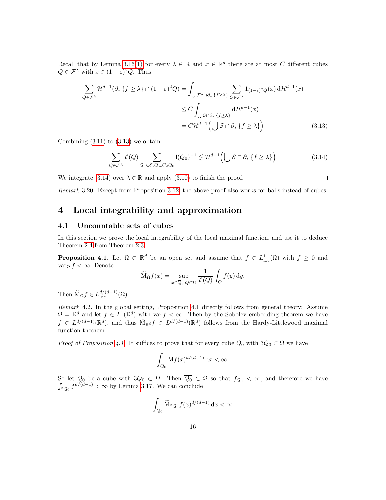Recall that by Lemma [3.16](#page-12-5)[\(1\)](#page-12-3) for every  $\lambda \in \mathbb{R}$  and  $x \in \mathbb{R}^d$  there are at most C different cubes  $Q \in \mathcal{F}^{\lambda}$  with  $x \in (1 - \varepsilon)^2 Q$ . Thus

$$
\sum_{Q \in \mathcal{F}^{\lambda}} \mathcal{H}^{d-1}(\partial_* \{f \ge \lambda\} \cap (1-\varepsilon)^2 Q) = \int_{\bigcup \mathcal{F}^{\lambda} \cap \partial_* \{f \ge \lambda\}} \sum_{Q \in \mathcal{F}^{\lambda}} 1_{(1-\varepsilon)^2 Q}(x) d\mathcal{H}^{d-1}(x)
$$

$$
\le C \int_{\bigcup \mathcal{S} \cap \partial_* \{f \ge \lambda\}} d\mathcal{H}^{d-1}(x)
$$

$$
= C \mathcal{H}^{d-1} \Big( \bigcup \mathcal{S} \cap \partial_* \{f \ge \lambda\} \Big) \tag{3.13}
$$

Combining  $(3.11)$  to  $(3.13)$  we obtain

<span id="page-15-4"></span>
$$
\sum_{Q \in \mathcal{F}^{\lambda}} \mathcal{L}(Q) \sum_{Q_0 \in \mathcal{S}, Q \subset C_2 Q_0} l(Q_0)^{-1} \lesssim \mathcal{H}^{d-1} \Big( \bigcup \mathcal{S} \cap \partial_* \{f \ge \lambda\} \Big). \tag{3.14}
$$

We integrate [\(3.14\)](#page-15-4) over  $\lambda \in \mathbb{R}$  and apply [\(3.10\)](#page-14-3) to finish the proof.

<span id="page-15-3"></span> $\Box$ 

Remark 3.20. Except from Proposition [3.12,](#page-11-0) the above proof also works for balls instead of cubes.

# <span id="page-15-0"></span>4 Local integrability and approximation

## <span id="page-15-1"></span>4.1 Uncountable sets of cubes

In this section we prove the local integrability of the local maximal function, and use it to deduce Theorem [2.4](#page-4-0) from Theorem [2.3.](#page-3-2)

<span id="page-15-2"></span>**Proposition 4.1.** Let  $\Omega \subset \mathbb{R}^d$  be an open set and assume that  $f \in L^1_{loc}(\Omega)$  with  $f \geq 0$  and var<sub>Ω</sub>  $f < \infty$ . Denote

$$
\widetilde{\mathcal{M}}_{\Omega} f(x) = \sup_{x \in \overline{Q}, \ Q \subset \Omega} \frac{1}{\mathcal{L}(Q)} \int_{Q} f(y) \, dy.
$$

Then  $\widetilde{\mathcal{M}}_{\Omega} f \in L_{\text{loc}}^{d/(d-1)}(\Omega)$ .

Remark 4.2. In the global setting, Proposition [4.1](#page-15-2) directly follows from general theory: Assume  $\Omega = \mathbb{R}^d$  and let  $f \in L^1(\mathbb{R}^d)$  with var  $f < \infty$ . Then by the Sobolev embedding theorem we have  $f \in L^{d/(d-1)}(\mathbb{R}^d)$ , and thus  $\widetilde{M}_{\mathbb{R}^d} f \in L^{d/(d-1)}(\mathbb{R}^d)$  follows from the Hardy-Littlewood maximal function theorem.

*Proof of Proposition [4.1.](#page-15-2)* It suffices to prove that for every cube  $Q_0$  with  $3Q_0 \subset \Omega$  we have

$$
\int_{Q_0} \mathbf{M} f(x)^{d/(d-1)} \, \mathrm{d} x < \infty.
$$

So let  $Q_0$  be a cube with  $3Q_0 \subset \Omega$ . Then  $\overline{Q_0} \subset \Omega$  so that  $f_{Q_0} < \infty$ , and therefore we have  $\int_{2Q_0} f^{d/(d-1)} < \infty$  by Lemma [3.17.](#page-13-1) We can conclude

$$
\int_{Q_0} \widetilde{M}_{2Q_0} f(x)^{d/(d-1)} dx < \infty
$$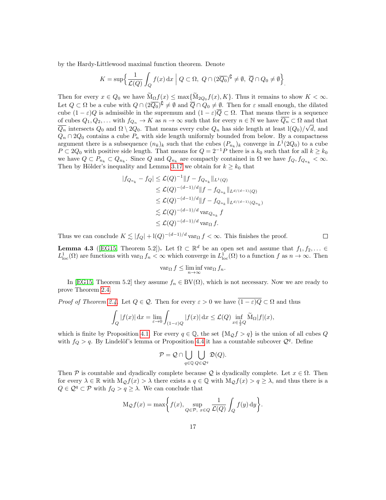by the Hardy-Littlewood maximal function theorem. Denote

$$
K = \sup \Big\{ \frac{1}{\mathcal{L}(Q)} \int_Q f(x) \, dx \Big| \ Q \subset \Omega, \ Q \cap (2\overline{Q_0})^{\complement} \neq \emptyset, \ \overline{Q} \cap Q_0 \neq \emptyset \Big\}.
$$

Then for every  $x \in Q_0$  we have  $M_{\Omega} f(x) \le \max\{M_{2Q_0} f(x), K\}$ . Thus it remains to show  $K < \infty$ . Let  $Q \subset \Omega$  be a cube with  $Q \cap (2\overline{Q_0})^{\complement} \neq \emptyset$  and  $\overline{Q} \cap Q_0 \neq \emptyset$ . Then for  $\varepsilon$  small enough, the dilated cube  $(1 - \varepsilon)Q$  is admissible in the supremum and  $(1 - \varepsilon)\overline{Q} \subset \Omega$ . That means there is a sequence of cubes  $Q_1, Q_2, \ldots$  with  $f_{Q_n} \to K$  as  $n \to \infty$  such that for every  $n \in \mathbb{N}$  we have  $\overline{Q_n} \subset \Omega$  and that  $\overline{Q_n}$  intersects  $Q_0$  and  $\Omega \setminus 2Q_0$ . That means every cube  $Q_n$  has side length at least  $1(Q_0)/\sqrt{d}$ , and  $Q_n \cap 2Q_0$  contains a cube  $P_n$  with side length uniformly bounded from below. By a compactness argument there is a subsequence  $(n_k)_k$  such that the cubes  $(P_{n_k})_k$  converge in  $L^1(2Q_0)$  to a cube  $P \subset 2Q_0$  with positive side length. That means for  $Q = 2^{-1}P$  there is a  $k_0$  such that for all  $k \geq k_0$ we have  $Q \subset P_{n_k} \subset Q_{n_k}$ . Since Q and  $Q_{n_k}$  are compactly contained in  $\Omega$  we have  $f_Q, f_{Q_{n_k}} < \infty$ . Then by Hölder's inequality and Lemma [3.17](#page-13-1) we obtain for  $k \geq k_0$  that

$$
|f_{Q_{n_k}} - f_Q| \leq \mathcal{L}(Q)^{-1} ||f - f_{Q_{n_k}}||_{L^1(Q)}
$$
  
\n
$$
\leq \mathcal{L}(Q)^{-(d-1)/d} ||f - f_{Q_{n_k}}||_{L^{d/(d-1)}(Q)}
$$
  
\n
$$
\leq \mathcal{L}(Q)^{-(d-1)/d} ||f - f_{Q_{n_k}}||_{L^{d/(d-1)}(Q_{n_k})}
$$
  
\n
$$
\lesssim \mathcal{L}(Q)^{-(d-1)/d} \operatorname{var}_{Q_{n_k}} f
$$
  
\n
$$
\leq \mathcal{L}(Q)^{-(d-1)/d} \operatorname{var}_{\Omega} f.
$$

Thus we can conclude  $K \lesssim |f_Q| + \frac{1}{Q} - \frac{d-1}{d} \text{var}_\Omega f < \infty$ . This finishes the proof.

 $\Box$ 

<span id="page-16-0"></span>**Lemma 4.3** ([\[EG15,](#page-20-16) Theorem 5.2]). Let  $\Omega \subset \mathbb{R}^d$  be an open set and assume that  $f_1, f_2, \ldots \in$  $L^1_{loc}(\Omega)$  are functions with  $var_{\Omega} f_n < \infty$  which converge in  $L^1_{loc}(\Omega)$  to a function f as  $n \to \infty$ . Then

$$
\operatorname{var}_{\Omega} f \le \liminf_{n \to \infty} \operatorname{var}_{\Omega} f_n.
$$

In [\[EG15,](#page-20-16) Theorem 5.2] they assume  $f_n \in BV(\Omega)$ , which is not necessary. Now we are ready to prove Theorem [2.4.](#page-4-0)

*Proof of Theorem [2.4.](#page-4-0)* Let  $Q \in \mathcal{Q}$ . Then for every  $\varepsilon > 0$  we have  $\overline{(1-\varepsilon)Q} \subset \Omega$  and thus

$$
\int_{Q} |f(x)| dx = \lim_{\varepsilon \to 0} \int_{(1-\varepsilon)Q} |f(x)| dx \leq \mathcal{L}(Q) \inf_{x \in \frac{1}{2}Q} \widetilde{M}_{\Omega} |f|(x),
$$

which is finite by Proposition [4.1.](#page-15-2) For every  $q \in \mathbb{Q}$ , the set  $\{M_{\mathcal{Q}}f > q\}$  is the union of all cubes Q with  $f_Q > q$ . By Lindelöf's lemma or Proposition [4.4](#page-17-1) it has a countable subcover  $Q<sup>q</sup>$ . Define

$$
\mathcal{P} = \mathcal{Q} \cap \bigcup_{q \in \mathbb{Q}} \bigcup_{Q \in \mathcal{Q}^q} \mathfrak{D}(Q).
$$

Then P is countable and dyadically complete because Q is dyadically complete. Let  $x \in \Omega$ . Then for every  $\lambda \in \mathbb{R}$  with  $M_{\mathcal{Q}}f(x) > \lambda$  there exists a  $q \in \mathbb{Q}$  with  $M_{\mathcal{Q}}f(x) > q \geq \lambda$ , and thus there is a  $Q \in \mathcal{Q}^q \subset \mathcal{P}$  with  $f_Q > q \geq \lambda$ . We can conclude that

$$
\mathrm{M}_{\mathcal{Q}} f(x) = \max \bigg\{ f(x), \sup_{Q \in \mathcal{P}, x \in Q} \frac{1}{\mathcal{L}(Q)} \int_{Q} f(y) \, \mathrm{d}y \bigg\}.
$$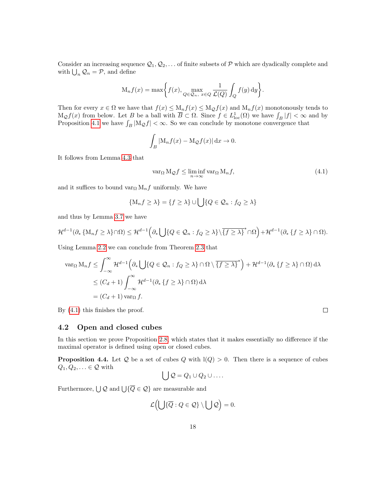Consider an increasing sequence  $\mathcal{Q}_1, \mathcal{Q}_2, \ldots$  of finite subsets of P which are dyadically complete and with  $\bigcup_n \mathcal{Q}_n = \mathcal{P}$ , and define

$$
\mathcal{M}_n f(x) = \max \bigg\{ f(x), \max_{Q \in \mathcal{Q}_n, x \in Q} \frac{1}{\mathcal{L}(Q)} \int_Q f(y) \, dy \bigg\}.
$$

Then for every  $x \in \Omega$  we have that  $f(x) \leq M_n f(x) \leq M_Q f(x)$  and  $M_n f(x)$  monotonously tends to  $M_Q f(x)$  from below. Let B be a ball with  $\overline{B} \subset \Omega$ . Since  $f \in L^1_{loc}(\Omega)$  we have  $\int_B |f| < \infty$  and by Proposition [4.1](#page-15-2) we have  $\int_B |M_Q f| < \infty$ . So we can conclude by monotone convergence that

$$
\int_B |\mathcal{M}_n f(x) - \mathcal{M}_\mathcal{Q} f(x)| \, \mathrm{d} x \to 0.
$$

It follows from Lemma [4.3](#page-16-0) that

<span id="page-17-2"></span>
$$
\operatorname{var}_{\Omega} M_{\mathcal{Q}} f \le \liminf_{n \to \infty} \operatorname{var}_{\Omega} M_n f,\tag{4.1}
$$

and it suffices to bound var<sub>Ω</sub>  $M_n f$  uniformly. We have

$$
\{M_n f \ge \lambda\} = \{f \ge \lambda\} \cup \bigcup \{Q \in \mathcal{Q}_n : f_Q \ge \lambda\}
$$

and thus by Lemma [3.7](#page-9-2) we have

$$
\mathcal{H}^{d-1}(\partial_*\left\{\mathbf{M}_n f \geq \lambda\right\} \cap \Omega) \leq \mathcal{H}^{d-1}\left(\partial_* \bigcup \{Q \in \mathcal{Q}_n : f_Q \geq \lambda\} \setminus \overline{\{f \geq \lambda\}}^* \cap \Omega\right) + \mathcal{H}^{d-1}(\partial_* \left\{f \geq \lambda\right\} \cap \Omega).
$$

Using Lemma [2.2](#page-3-0) we can conclude from Theorem [2.3](#page-3-2) that

$$
\operatorname{var}_{\Omega} M_n f \leq \int_{-\infty}^{\infty} \mathcal{H}^{d-1} \Big( \partial_* \bigcup \{ Q \in \mathcal{Q}_n : f_Q \geq \lambda \} \cap \Omega \setminus \overline{\{ f \geq \lambda \}}^* \Big) + \mathcal{H}^{d-1} (\partial_* \{ f \geq \lambda \} \cap \Omega) d\lambda
$$
  

$$
\leq (C_d + 1) \int_{-\infty}^{\infty} \mathcal{H}^{d-1} (\partial_* \{ f \geq \lambda \} \cap \Omega) d\lambda
$$
  

$$
= (C_d + 1) \operatorname{var}_{\Omega} f.
$$

By [\(4.1\)](#page-17-2) this finishes the proof.

# <span id="page-17-0"></span>4.2 Open and closed cubes

In this section we prove Proposition [2.8,](#page-5-2) which states that it makes essentially no difference if the maximal operator is defined using open or closed cubes.

<span id="page-17-1"></span>**Proposition 4.4.** Let Q be a set of cubes Q with  $I(Q) > 0$ . Then there is a sequence of cubes  $Q_1, Q_2, \ldots \in \mathcal{Q}$  with

$$
\bigcup \mathcal{Q} = Q_1 \cup Q_2 \cup \ldots
$$

Furthermore,  $\bigcup Q$  and  $\bigcup \{\overline{Q} \in Q\}$  are measurable and

$$
\mathcal{L}\Big(\bigcup\{\overline{Q}:Q\in\mathcal{Q}\}\setminus\bigcup\mathcal{Q}\Big)=0.
$$

 $\Box$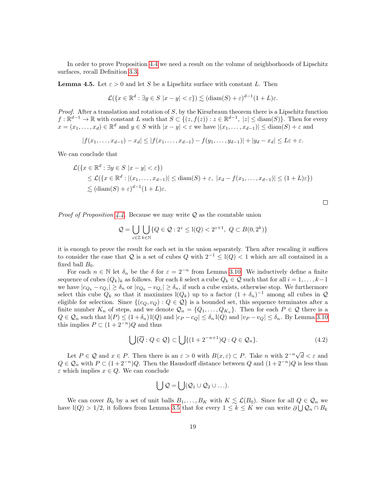In order to prove Proposition [4.4](#page-17-1) we need a result on the volume of neighborhoods of Lipschitz surfaces, recall Definition [3.3.](#page-7-5)

<span id="page-18-0"></span>**Lemma 4.5.** Let  $\varepsilon > 0$  and let S be a Lipschitz surface with constant L. Then

$$
\mathcal{L}(\{x \in \mathbb{R}^d : \exists y \in S \ |x - y| < \varepsilon\}) \lesssim (\text{diam}(S) + \varepsilon)^{d-1} (1 + L)\varepsilon.
$$

*Proof.* After a translation and rotation of  $S$ , by the Kirszbraun theorem there is a Lipschitz function  $f: \mathbb{R}^{d-1} \to \mathbb{R}$  with constant L such that  $S \subset \{(z, f(z)) : z \in \mathbb{R}^{d-1}, |z| \leq \text{diam}(S) \}$ . Then for every  $x = (x_1, \ldots, x_d) \in \mathbb{R}^d$  and  $y \in S$  with  $|x - y| < \varepsilon$  we have  $|(x_1, \ldots, x_{d-1})| \leq \text{diam}(S) + \varepsilon$  and

$$
|f(x_1,...,x_{d-1})-x_d| \leq |f(x_1,...,x_{d-1})-f(y_1,...,y_{d-1})|+|y_d-x_d| \leq L\varepsilon+\varepsilon.
$$

We can conclude that

$$
\mathcal{L}(\lbrace x \in \mathbb{R}^d : \exists y \in S \ |x - y| < \varepsilon \rbrace) \leq \mathcal{L}(\lbrace x \in \mathbb{R}^d : |(x_1, \dots, x_{d-1})| \leq \text{diam}(S) + \varepsilon, \ |x_d - f(x_1, \dots, x_{d-1})| \leq (1 + L)\varepsilon \rbrace) \leq (\text{diam}(S) + \varepsilon)^{d-1}(1 + L)\varepsilon.
$$

*Proof of Proposition [4.4.](#page-17-1)* Because we may write  $Q$  as the countable union

$$
\mathcal{Q} = \bigcup_{z \in \mathbb{Z}} \bigcup_{k \in \mathbb{N}} \{ Q \in \mathcal{Q} : 2^z \le l(Q) < 2^{z+1}, \ Q \subset B(0, 2^k) \}
$$

it is enough to prove the result for each set in the union separately. Then after rescaling it suffices to consider the case that Q is a set of cubes  $Q$  with  $2^{-1} \leq l(Q) < 1$  which are all contained in a fixed ball  $B_0$ .

For each  $n \in \mathbb{N}$  let  $\delta_n$  be the  $\delta$  for  $\varepsilon = 2^{-n}$  from Lemma [3.10.](#page-10-0) We inductively define a finite sequence of cubes  $(Q_k)_k$  as follows. For each k select a cube  $Q_k \in \mathcal{Q}$  such that for all  $i = 1, \ldots, k-1$ we have  $|c_{Q_k} - c_{Q_i}| \ge \delta_n$  or  $|v_{Q_k} - v_{Q_i}| \ge \delta_n$ , if such a cube exists, otherwise stop. We furthermore select this cube  $Q_k$  so that it maximizes  $l(Q_k)$  up to a factor  $(1 + \delta_n)^{-1}$  among all cubes in  $\mathcal Q$ eligible for selection. Since  $\{(c_Q, v_Q) : Q \in \mathcal{Q}\}\$ is a bounded set, this sequence terminates after a finite number  $K_n$  of steps, and we denote  $\mathcal{Q}_n = \{Q_1, \ldots, Q_{K_n}\}\.$  Then for each  $P \in \mathcal{Q}$  there is a  $Q \in \mathcal{Q}_n$  such that  $I(P) \leq (1 + \delta_n) I(Q)$  and  $|c_P - c_Q| \leq \delta_n I(Q)$  and  $|v_P - v_Q| \leq \delta_n$ . By Lemma [3.10](#page-10-0) this implies  $P \subset (1 + 2^{-n})Q$  and thus

<span id="page-18-1"></span>
$$
\bigcup \{\overline{Q}: Q \in \mathcal{Q}\} \subset \bigcup \{(1+2^{-n+1})Q: Q \in \mathcal{Q}_n\}.
$$
\n(4.2)

Let  $P \in \mathcal{Q}$  and  $x \in P$ . Then there is an  $\varepsilon > 0$  with  $B(x,\varepsilon) \subset P$ . Take n with  $2^{-n}\sqrt{d} < \varepsilon$  and  $Q \in \mathcal{Q}_n$  with  $P \subset (1+2^{-n})Q$ . Then the Hausdorff distance between Q and  $(1+2^{-n})Q$  is less than  $\varepsilon$  which implies  $x \in Q$ . We can conclude

$$
\bigcup \mathcal{Q} = \bigcup (\mathcal{Q}_1 \cup \mathcal{Q}_2 \cup \ldots).
$$

We can cover  $B_0$  by a set of unit balls  $B_1, \ldots, B_K$  with  $K \lesssim \mathcal{L}(B_0)$ . Since for all  $Q \in \mathcal{Q}_n$  we have  $l(Q) > 1/2$ , it follows from Lemma [3.5](#page-8-2) that for every  $1 \leq k \leq K$  we can write  $\partial \bigcup \mathcal{Q}_n \cap B_k$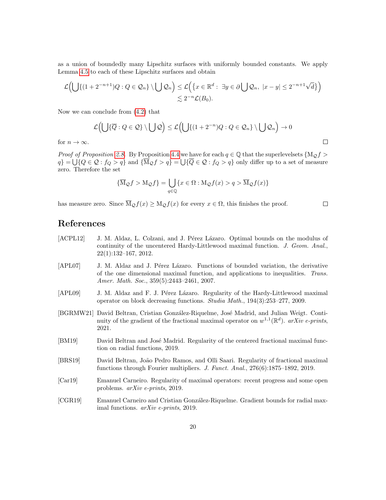as a union of boundedly many Lipschitz surfaces with uniformly bounded constants. We apply Lemma [4.5](#page-18-0) to each of these Lipschitz surfaces and obtain

$$
\mathcal{L}\Big(\bigcup\{(1+2^{-n+1})Q:Q\in\mathcal{Q}_n\}\setminus\bigcup\mathcal{Q}_n\Big)\leq\mathcal{L}\Big(\big\{x\in\mathbb{R}^d:\ \exists y\in\partial\bigcup\mathcal{Q}_n,\ |x-y|\leq2^{-n+1}\sqrt{d}\big\}\Big)\right)
$$
  

$$
\lesssim2^{-n}\mathcal{L}(B_0).
$$

Now we can conclude from [\(4.2\)](#page-18-1) that

$$
\mathcal{L}\Big(\bigcup\{\overline{Q}:Q\in\mathcal{Q}\}\setminus\bigcup\mathcal{Q}\Big)\leq\mathcal{L}\Big(\bigcup\{(1+2^{-n})Q:Q\in\mathcal{Q}_n\}\setminus\bigcup\mathcal{Q}_n\Big)\to 0
$$

 $\Box$ 

 $\Box$ 

for  $n \to \infty$ .

*Proof of Proposition [2.8.](#page-5-2)* By Proposition [4.4](#page-17-1) we have for each  $q \in \mathbb{Q}$  that the superlevelsets  $\{M_{\mathcal{O}} f >$  $q$ } =  $\bigcup\{Q \in \mathcal{Q} : f_Q > q\}$  and  $\{\overline{M}_{\mathcal{Q}}f > q\}$  =  $\bigcup\{\overline{Q} \in \mathcal{Q} : f_Q > q\}$  only differ up to a set of measure zero. Therefore the set

$$
\{\overline{\mathcal{M}}_{\mathcal{Q}}f > \mathcal{M}_{\mathcal{Q}}f\} = \bigcup_{q \in \mathbb{Q}} \{x \in \Omega : \mathcal{M}_{\mathcal{Q}}f(x) > q > \overline{\mathcal{M}}_{\mathcal{Q}}f(x)\}\
$$

has measure zero. Since  $\overline{M}_{\mathcal{Q}}f(x) \geq M_{\mathcal{Q}}f(x)$  for every  $x \in \Omega$ , this finishes the proof.

# References

- <span id="page-19-6"></span>[ACPL12] J. M. Aldaz, L. Colzani, and J. Pérez Lázaro. Optimal bounds on the modulus of continuity of the uncentered Hardy-Littlewood maximal function. J. Geom. Anal., 22(1):132–167, 2012.
- <span id="page-19-0"></span>[APL07] J. M. Aldaz and J. Pérez Lázaro. Functions of bounded variation, the derivative of the one dimensional maximal function, and applications to inequalities. Trans. Amer. Math. Soc., 359(5):2443–2461, 2007.
- <span id="page-19-1"></span>[APL09] J. M. Aldaz and F. J. Pérez Lázaro. Regularity of the Hardy-Littlewood maximal operator on block decreasing functions. Studia Math., 194(3):253–277, 2009.
- <span id="page-19-7"></span>[BGRMW21] David Beltran, Cristian González-Riquelme, José Madrid, and Julian Weigt. Continuity of the gradient of the fractional maximal operator on  $w^{1,1}(\mathbb{R}^d)$ . arXiv e-prints, 2021.
- <span id="page-19-3"></span>[BM19] David Beltran and José Madrid. Regularity of the centered fractional maximal function on radial functions, 2019.
- <span id="page-19-4"></span>[BRS19] David Beltran, João Pedro Ramos, and Olli Saari. Regularity of fractional maximal functions through Fourier multipliers. J. Funct. Anal., 276(6):1875–1892, 2019.
- <span id="page-19-5"></span>[Car19] Emanuel Carneiro. Regularity of maximal operators: recent progress and some open problems. arXiv e-prints, 2019.
- <span id="page-19-2"></span>[CGR19] Emanuel Carneiro and Cristian Gonz´alez-Riquelme. Gradient bounds for radial maximal functions. arXiv e-prints, 2019.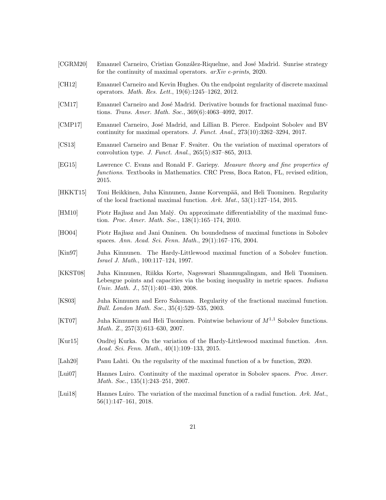<span id="page-20-16"></span><span id="page-20-15"></span><span id="page-20-14"></span><span id="page-20-13"></span><span id="page-20-12"></span><span id="page-20-11"></span><span id="page-20-10"></span><span id="page-20-9"></span><span id="page-20-8"></span><span id="page-20-7"></span><span id="page-20-6"></span><span id="page-20-5"></span><span id="page-20-4"></span><span id="page-20-3"></span><span id="page-20-2"></span><span id="page-20-1"></span><span id="page-20-0"></span>

| $[{\rm CGRM20}]$             | Emanuel Carneiro, Cristian González-Riquelme, and José Madrid. Sunrise strategy<br>for the continuity of maximal operators. $arXiv$ e-prints, 2020.                                                               |
|------------------------------|-------------------------------------------------------------------------------------------------------------------------------------------------------------------------------------------------------------------|
| [CH12]                       | Emanuel Carneiro and Kevin Hughes. On the endpoint regularity of discrete maximal<br>operators. <i>Math. Res. Lett.</i> , 19(6):1245-1262, 2012.                                                                  |
| [CM17]                       | Emanuel Carneiro and José Madrid. Derivative bounds for fractional maximal func-<br>tions. Trans. Amer. Math. Soc., 369(6):4063-4092, 2017.                                                                       |
| [CMP17]                      | Emanuel Carneiro, José Madrid, and Lillian B. Pierce. Endpoint Sobolev and BV<br>continuity for maximal operators. J. Funct. Anal., $273(10):3262-3294$ , $2017$ .                                                |
| [CS13]                       | Emanuel Carneiro and Benar F. Svaiter. On the variation of maximal operators of<br>convolution type. <i>J. Funct. Anal.</i> , 265(5):837–865, 2013.                                                               |
| [EG15]                       | Lawrence C. Evans and Ronald F. Gariepy. Measure theory and fine properties of<br>functions. Textbooks in Mathematics. CRC Press, Boca Raton, FL, revised edition,<br>2015.                                       |
| [HKKT15]                     | Toni Heikkinen, Juha Kinnunen, Janne Korvenpää, and Heli Tuominen. Regularity<br>of the local fractional maximal function. Ark. Mat., $53(1):127-154$ , 2015.                                                     |
| [HM10]                       | Piotr Hajłasz and Jan Malý. On approximate differentiability of the maximal func-<br>tion. Proc. Amer. Math. Soc., 138(1):165-174, 2010.                                                                          |
| [HOO4]                       | Piotr Hajlasz and Jani Onninen. On boundedness of maximal functions in Sobolev<br>spaces. Ann. Acad. Sci. Fenn. Math., 29(1):167-176, 2004.                                                                       |
| [Kin97]                      | Juha Kinnunen. The Hardy-Littlewood maximal function of a Sobolev function.<br><i>Israel J. Math.</i> , 100:117–124, 1997.                                                                                        |
| [KKST08]                     | Juha Kinnunen, Riikka Korte, Nageswari Shanmugalingam, and Heli Tuominen.<br>Lebesgue points and capacities via the boxing inequality in metric spaces. <i>Indiana</i><br>Univ. Math. J., $57(1):401-430$ , 2008. |
| [KS03]                       | Juha Kinnunen and Eero Saksman. Regularity of the fractional maximal function.<br>Bull. London Math. Soc., 35(4):529-535, 2003.                                                                                   |
| $\vert$ KT07]                | Juha Kinnunen and Heli Tuominen. Pointwise behaviour of $M^{1,1}$ Sobolev functions.<br>Math. Z., $257(3):613-630$ , $2007$ .                                                                                     |
| [Kur15]                      | Ondřej Kurka. On the variation of the Hardy-Littlewood maximal function. Ann.<br>Acad. Sci. Fenn. Math., $40(1):109-133$ , 2015.                                                                                  |
| $\left[ \text{Lah}20\right]$ | Panu Lahti. On the regularity of the maximal function of a by function, 2020.                                                                                                                                     |
| [Lui07]                      | Hannes Luiro. Continuity of the maximal operator in Sobolev spaces. Proc. Amer.<br>Math. Soc., $135(1):243-251$ , 2007.                                                                                           |
| [Lui18]                      | Hannes Luiro. The variation of the maximal function of a radial function. Ark. Mat.,<br>$56(1):147-161, 2018.$                                                                                                    |
|                              |                                                                                                                                                                                                                   |